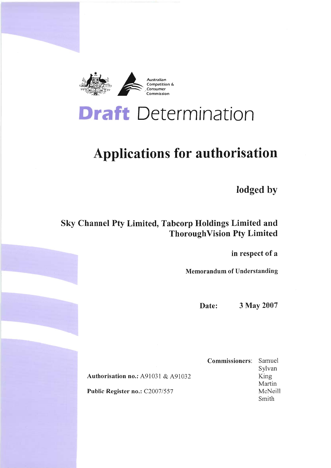

# **Draft** Determination

# **Applications for authorisation**

lodged by

# Sky Channel Pty Limited, Tabcorp Holdings Limited and **ThoroughVision Pty Limited**

in respect of a

**Memorandum of Understanding** 

3 May 2007 Date:

**Authorisation no.: A91031 & A91032** Public Register no.: C2007/557

**Commissioners:** Samuel Sylvan King Martin McNeill Smith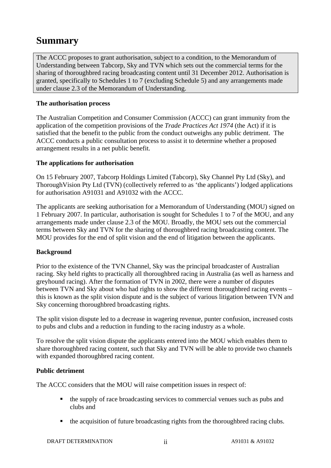# **Summary**

The ACCC proposes to grant authorisation, subject to a condition, to the Memorandum of Understanding between Tabcorp, Sky and TVN which sets out the commercial terms for the sharing of thoroughbred racing broadcasting content until 31 December 2012. Authorisation is granted, specifically to Schedules 1 to 7 (excluding Schedule 5) and any arrangements made under clause 2.3 of the Memorandum of Understanding.

### **The authorisation process**

The Australian Competition and Consumer Commission (ACCC) can grant immunity from the application of the competition provisions of the *Trade Practices Act 1974* (the Act) if it is satisfied that the benefit to the public from the conduct outweighs any public detriment. The ACCC conducts a public consultation process to assist it to determine whether a proposed arrangement results in a net public benefit.

### **The applications for authorisation**

On 15 February 2007, Tabcorp Holdings Limited (Tabcorp), Sky Channel Pty Ltd (Sky), and ThoroughVision Pty Ltd (TVN) (collectively referred to as 'the applicants') lodged applications for authorisation A91031 and A91032 with the ACCC.

The applicants are seeking authorisation for a Memorandum of Understanding (MOU) signed on 1 February 2007. In particular, authorisation is sought for Schedules 1 to 7 of the MOU, and any arrangements made under clause 2.3 of the MOU. Broadly, the MOU sets out the commercial terms between Sky and TVN for the sharing of thoroughbred racing broadcasting content. The MOU provides for the end of split vision and the end of litigation between the applicants.

### **Background**

Prior to the existence of the TVN Channel, Sky was the principal broadcaster of Australian racing. Sky held rights to practically all thoroughbred racing in Australia (as well as harness and greyhound racing). After the formation of TVN in 2002, there were a number of disputes between TVN and Sky about who had rights to show the different thoroughbred racing events – this is known as the split vision dispute and is the subject of various litigation between TVN and Sky concerning thoroughbred broadcasting rights.

The split vision dispute led to a decrease in wagering revenue, punter confusion, increased costs to pubs and clubs and a reduction in funding to the racing industry as a whole.

To resolve the split vision dispute the applicants entered into the MOU which enables them to share thoroughbred racing content, such that Sky and TVN will be able to provide two channels with expanded thoroughbred racing content.

### **Public detriment**

The ACCC considers that the MOU will raise competition issues in respect of:

- the supply of race broadcasting services to commercial venues such as pubs and clubs and
- the acquisition of future broadcasting rights from the thoroughbred racing clubs.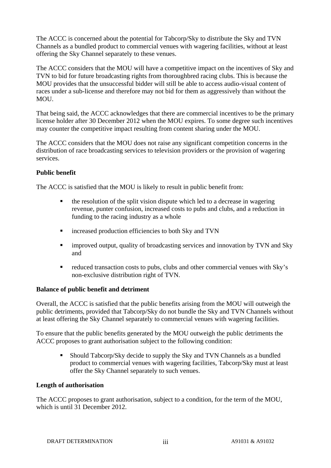The ACCC is concerned about the potential for Tabcorp/Sky to distribute the Sky and TVN Channels as a bundled product to commercial venues with wagering facilities, without at least offering the Sky Channel separately to these venues.

The ACCC considers that the MOU will have a competitive impact on the incentives of Sky and TVN to bid for future broadcasting rights from thoroughbred racing clubs. This is because the MOU provides that the unsuccessful bidder will still be able to access audio-visual content of races under a sub-license and therefore may not bid for them as aggressively than without the MOU.

That being said, the ACCC acknowledges that there are commercial incentives to be the primary license holder after 30 December 2012 when the MOU expires. To some degree such incentives may counter the competitive impact resulting from content sharing under the MOU.

The ACCC considers that the MOU does not raise any significant competition concerns in the distribution of race broadcasting services to television providers or the provision of wagering services.

### **Public benefit**

The ACCC is satisfied that the MOU is likely to result in public benefit from:

- $\blacksquare$  the resolution of the split vision dispute which led to a decrease in wagering revenue, punter confusion, increased costs to pubs and clubs, and a reduction in funding to the racing industry as a whole
- increased production efficiencies to both Sky and TVN
- improved output, quality of broadcasting services and innovation by TVN and Sky and
- reduced transaction costs to pubs, clubs and other commercial venues with Sky's non-exclusive distribution right of TVN.

### **Balance of public benefit and detriment**

Overall, the ACCC is satisfied that the public benefits arising from the MOU will outweigh the public detriments, provided that Tabcorp/Sky do not bundle the Sky and TVN Channels without at least offering the Sky Channel separately to commercial venues with wagering facilities.

To ensure that the public benefits generated by the MOU outweigh the public detriments the ACCC proposes to grant authorisation subject to the following condition:

 Should Tabcorp/Sky decide to supply the Sky and TVN Channels as a bundled product to commercial venues with wagering facilities, Tabcorp/Sky must at least offer the Sky Channel separately to such venues.

#### **Length of authorisation**

The ACCC proposes to grant authorisation, subject to a condition, for the term of the MOU, which is until 31 December 2012.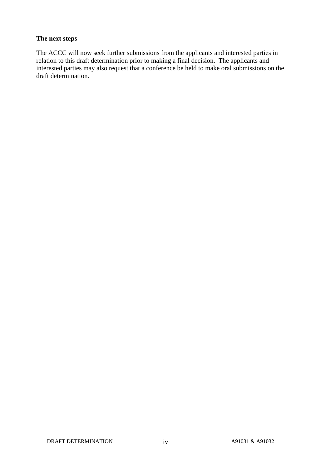### **The next steps**

The ACCC will now seek further submissions from the applicants and interested parties in relation to this draft determination prior to making a final decision. The applicants and interested parties may also request that a conference be held to make oral submissions on the draft determination.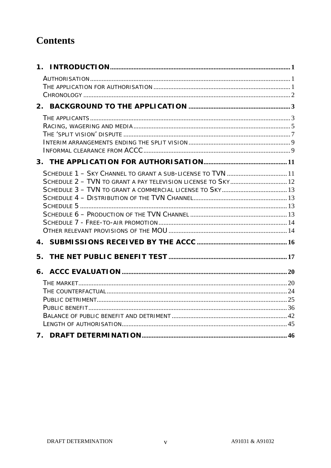# **Contents**

| SCHEDULE 1 - SKY CHANNEL TO GRANT A SUB-LICENSE TO TVN  11 |  |
|------------------------------------------------------------|--|
|                                                            |  |
|                                                            |  |
|                                                            |  |
|                                                            |  |
|                                                            |  |
|                                                            |  |
|                                                            |  |
|                                                            |  |
| 5.                                                         |  |
|                                                            |  |
|                                                            |  |
|                                                            |  |
|                                                            |  |
|                                                            |  |
|                                                            |  |
|                                                            |  |
|                                                            |  |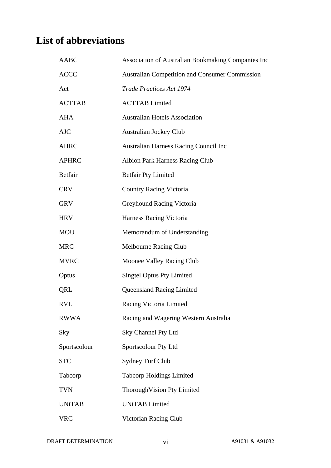# **List of abbreviations**

| <b>AABC</b>    | Association of Australian Bookmaking Companies Inc    |
|----------------|-------------------------------------------------------|
| <b>ACCC</b>    | <b>Australian Competition and Consumer Commission</b> |
| Act            | Trade Practices Act 1974                              |
| <b>ACTTAB</b>  | <b>ACTTAB Limited</b>                                 |
| <b>AHA</b>     | <b>Australian Hotels Association</b>                  |
| <b>AJC</b>     | <b>Australian Jockey Club</b>                         |
| <b>AHRC</b>    | <b>Australian Harness Racing Council Inc</b>          |
| <b>APHRC</b>   | <b>Albion Park Harness Racing Club</b>                |
| <b>Betfair</b> | <b>Betfair Pty Limited</b>                            |
| <b>CRV</b>     | <b>Country Racing Victoria</b>                        |
| <b>GRV</b>     | Greyhound Racing Victoria                             |
| <b>HRV</b>     | Harness Racing Victoria                               |
| <b>MOU</b>     | Memorandum of Understanding                           |
| <b>MRC</b>     | <b>Melbourne Racing Club</b>                          |
| <b>MVRC</b>    | Moonee Valley Racing Club                             |
| Optus          | <b>Singtel Optus Pty Limited</b>                      |
| QRL            | <b>Queensland Racing Limited</b>                      |
| RVL            | Racing Victoria Limited                               |
| <b>RWWA</b>    | Racing and Wagering Western Australia                 |
| Sky            | Sky Channel Pty Ltd                                   |
| Sportscolour   | Sportscolour Pty Ltd                                  |
| <b>STC</b>     | <b>Sydney Turf Club</b>                               |
| Tabcorp        | <b>Tabcorp Holdings Limited</b>                       |
| <b>TVN</b>     | Thorough Vision Pty Limited                           |
| <b>UNiTAB</b>  | <b>UNiTAB</b> Limited                                 |
| <b>VRC</b>     | Victorian Racing Club                                 |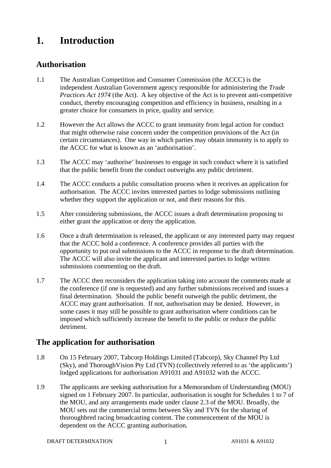# **1. Introduction**

### **Authorisation**

- 1.1 The Australian Competition and Consumer Commission (the ACCC) is the independent Australian Government agency responsible for administering the *Trade Practices Act 1974* (the Act). A key objective of the Act is to prevent anti-competitive conduct, thereby encouraging competition and efficiency in business, resulting in a greater choice for consumers in price, quality and service.
- 1.2 However the Act allows the ACCC to grant immunity from legal action for conduct that might otherwise raise concern under the competition provisions of the Act (in certain circumstances). One way in which parties may obtain immunity is to apply to the ACCC for what is known as an 'authorisation'.
- 1.3 The ACCC may 'authorise' businesses to engage in such conduct where it is satisfied that the public benefit from the conduct outweighs any public detriment.
- 1.4 The ACCC conducts a public consultation process when it receives an application for authorisation. The ACCC invites interested parties to lodge submissions outlining whether they support the application or not, and their reasons for this.
- 1.5 After considering submissions, the ACCC issues a draft determination proposing to either grant the application or deny the application.
- 1.6 Once a draft determination is released, the applicant or any interested party may request that the ACCC hold a conference. A conference provides all parties with the opportunity to put oral submissions to the ACCC in response to the draft determination. The ACCC will also invite the applicant and interested parties to lodge written submissions commenting on the draft.
- 1.7 The ACCC then reconsiders the application taking into account the comments made at the conference (if one is requested) and any further submissions received and issues a final determination. Should the public benefit outweigh the public detriment, the ACCC may grant authorisation. If not, authorisation may be denied. However, in some cases it may still be possible to grant authorisation where conditions can be imposed which sufficiently increase the benefit to the public or reduce the public detriment.

### **The application for authorisation**

- 1.8 On 15 February 2007, Tabcorp Holdings Limited (Tabcorp), Sky Channel Pty Ltd (Sky), and ThoroughVision Pty Ltd (TVN) (collectively referred to as 'the applicants') lodged applications for authorisation A91031 and A91032 with the ACCC.
- 1.9 The applicants are seeking authorisation for a Memorandum of Understanding (MOU) signed on 1 February 2007. In particular, authorisation is sought for Schedules 1 to 7 of the MOU, and any arrangements made under clause 2.3 of the MOU. Broadly, the MOU sets out the commercial terms between Sky and TVN for the sharing of thoroughbred racing broadcasting content. The commencement of the MOU is dependent on the ACCC granting authorisation.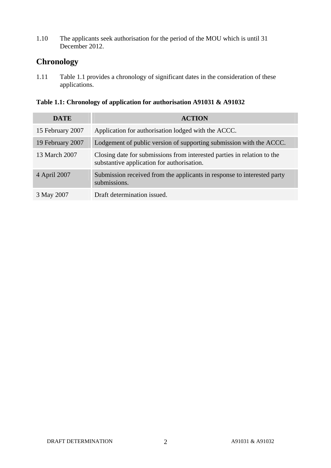1.10 The applicants seek authorisation for the period of the MOU which is until 31 December 2012.

# **Chronology**

1.11 Table 1.1 provides a chronology of significant dates in the consideration of these applications.

### **Table 1.1: Chronology of application for authorisation A91031 & A91032**

| <b>DATE</b>      | <b>ACTION</b>                                                                                                         |
|------------------|-----------------------------------------------------------------------------------------------------------------------|
| 15 February 2007 | Application for authorisation lodged with the ACCC.                                                                   |
| 19 February 2007 | Lodgement of public version of supporting submission with the ACCC.                                                   |
| 13 March 2007    | Closing date for submissions from interested parties in relation to the<br>substantive application for authorisation. |
| 4 April 2007     | Submission received from the applicants in response to interested party<br>submissions.                               |
| 3 May 2007       | Draft determination issued.                                                                                           |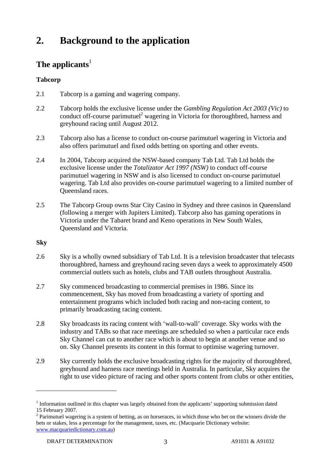# **2. Background to the application**

# The applicants<sup>1</sup>

### **Tabcorp**

- 2.1 Tabcorp is a gaming and wagering company.
- 2.2 Tabcorp holds the exclusive license under the *Gambling Regulation Act 2003 (Vic)* to conduct off-course parimutuel<sup>2</sup> wagering in Victoria for thoroughbred, harness and greyhound racing until August 2012.
- 2.3 Tabcorp also has a license to conduct on-course parimutuel wagering in Victoria and also offers parimutuel and fixed odds betting on sporting and other events.
- 2.4 In 2004, Tabcorp acquired the NSW-based company Tab Ltd. Tab Ltd holds the exclusive license under the *Totalizator Act 1997 (NSW)* to conduct off-course parimutuel wagering in NSW and is also licensed to conduct on-course parimutuel wagering. Tab Ltd also provides on-course parimutuel wagering to a limited number of Queensland races.
- 2.5 The Tabcorp Group owns Star City Casino in Sydney and three casinos in Queensland (following a merger with Jupiters Limited). Tabcorp also has gaming operations in Victoria under the Tabaret brand and Keno operations in New South Wales, Queensland and Victoria.

### **Sky**

- 2.6 Sky is a wholly owned subsidiary of Tab Ltd. It is a television broadcaster that telecasts thoroughbred, harness and greyhound racing seven days a week to approximately 4500 commercial outlets such as hotels, clubs and TAB outlets throughout Australia.
- 2.7 Sky commenced broadcasting to commercial premises in 1986. Since its commencement, Sky has moved from broadcasting a variety of sporting and entertainment programs which included both racing and non-racing content, to primarily broadcasting racing content.
- 2.8 Sky broadcasts its racing content with 'wall-to-wall' coverage. Sky works with the industry and TABs so that race meetings are scheduled so when a particular race ends Sky Channel can cut to another race which is about to begin at another venue and so on. Sky Channel presents its content in this format to optimise wagering turnover.
- 2.9 Sky currently holds the exclusive broadcasting rights for the majority of thoroughbred, greyhound and harness race meetings held in Australia. In particular, Sky acquires the right to use video picture of racing and other sports content from clubs or other entities,

<sup>&</sup>lt;sup>1</sup> Information outlined in this chapter was largely obtained from the applicants' supporting submission dated 15 February 2007.

 $2$  Parimutuel wagering is a system of betting, as on horseraces, in which those who bet on the winners divide the bets or stakes, less a percentage for the management, taxes, etc. (Macquarie Dictionary website: www.macquariedictionary.com.au)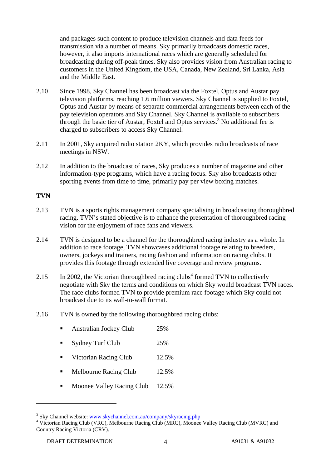and packages such content to produce television channels and data feeds for transmission via a number of means. Sky primarily broadcasts domestic races, however, it also imports international races which are generally scheduled for broadcasting during off-peak times. Sky also provides vision from Australian racing to customers in the United Kingdom, the USA, Canada, New Zealand, Sri Lanka, Asia and the Middle East.

- 2.10 Since 1998, Sky Channel has been broadcast via the Foxtel, Optus and Austar pay television platforms, reaching 1.6 million viewers. Sky Channel is supplied to Foxtel, Optus and Austar by means of separate commercial arrangements between each of the pay television operators and Sky Channel. Sky Channel is available to subscribers through the basic tier of Austar, Foxtel and Optus services.<sup>3</sup> No additional fee is charged to subscribers to access Sky Channel.
- 2.11 In 2001, Sky acquired radio station 2KY, which provides radio broadcasts of race meetings in NSW.
- 2.12 In addition to the broadcast of races, Sky produces a number of magazine and other information-type programs, which have a racing focus. Sky also broadcasts other sporting events from time to time, primarily pay per view boxing matches.

### **TVN**

- 2.13 TVN is a sports rights management company specialising in broadcasting thoroughbred racing. TVN's stated objective is to enhance the presentation of thoroughbred racing vision for the enjoyment of race fans and viewers.
- 2.14 TVN is designed to be a channel for the thoroughbred racing industry as a whole. In addition to race footage, TVN showcases additional footage relating to breeders, owners, jockeys and trainers, racing fashion and information on racing clubs. It provides this footage through extended live coverage and review programs.
- 2.15 In 2002, the Victorian thoroughbred racing clubs<sup>4</sup> formed TVN to collectively negotiate with Sky the terms and conditions on which Sky would broadcast TVN races. The race clubs formed TVN to provide premium race footage which Sky could not broadcast due to its wall-to-wall format.
- 2.16 TVN is owned by the following thoroughbred racing clubs:
	- Australian Jockey Club 25%
	- Sydney Turf Club 25%
	- Victorian Racing Club 12.5%
	- Melbourne Racing Club 12.5%
	- Moonee Valley Racing Club 12.5%

<sup>&</sup>lt;sup>3</sup> Sky Channel website: www.skychannel.com.au/company/skyracing.php  $\frac{4 \text{ V} \cdot \text{V}}{4 \text{ V} \cdot \text{V}}$ 

<sup>&</sup>lt;sup>4</sup> Victorian Racing Club (VRC), Melbourne Racing Club (MRC), Moonee Valley Racing Club (MVRC) and Country Racing Victoria (CRV).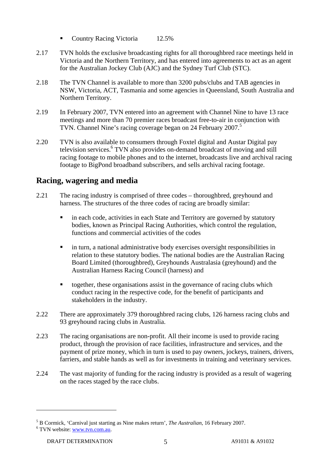- Country Racing Victoria 12.5%
- 2.17 TVN holds the exclusive broadcasting rights for all thoroughbred race meetings held in Victoria and the Northern Territory, and has entered into agreements to act as an agent for the Australian Jockey Club (AJC) and the Sydney Turf Club (STC).
- 2.18 The TVN Channel is available to more than 3200 pubs/clubs and TAB agencies in NSW, Victoria, ACT, Tasmania and some agencies in Queensland, South Australia and Northern Territory.
- 2.19 In February 2007, TVN entered into an agreement with Channel Nine to have 13 race meetings and more than 70 premier races broadcast free-to-air in conjunction with TVN. Channel Nine's racing coverage began on 24 February 2007.<sup>5</sup>
- 2.20 TVN is also available to consumers through Foxtel digital and Austar Digital pay television services.<sup>6</sup> TVN also provides on-demand broadcast of moving and still racing footage to mobile phones and to the internet, broadcasts live and archival racing footage to BigPond broadband subscribers, and sells archival racing footage.

### **Racing, wagering and media**

- 2.21 The racing industry is comprised of three codes thoroughbred, greyhound and harness. The structures of the three codes of racing are broadly similar:
	- **in each code, activities in each State and Territory are governed by statutory** bodies, known as Principal Racing Authorities, which control the regulation, functions and commercial activities of the codes
	- in turn, a national administrative body exercises oversight responsibilities in relation to these statutory bodies. The national bodies are the Australian Racing Board Limited (thoroughbred), Greyhounds Australasia (greyhound) and the Australian Harness Racing Council (harness) and
	- together, these organisations assist in the governance of racing clubs which conduct racing in the respective code, for the benefit of participants and stakeholders in the industry.
- 2.22 There are approximately 379 thoroughbred racing clubs, 126 harness racing clubs and 93 greyhound racing clubs in Australia.
- 2.23 The racing organisations are non-profit. All their income is used to provide racing product, through the provision of race facilities, infrastructure and services, and the payment of prize money, which in turn is used to pay owners, jockeys, trainers, drivers, farriers, and stable hands as well as for investments in training and veterinary services.
- 2.24 The vast majority of funding for the racing industry is provided as a result of wagering on the races staged by the race clubs.

 $^5$  B Cormick, 'Carnival just starting as Nine makes return', *The Australian*, 16 February 2007.

<sup>&</sup>lt;sup>6</sup> TVN website: www.tvn.com.au.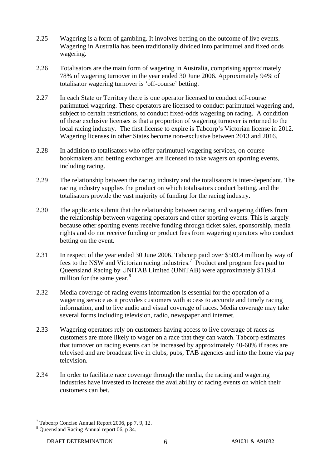- 2.25 Wagering is a form of gambling. It involves betting on the outcome of live events. Wagering in Australia has been traditionally divided into parimutuel and fixed odds wagering.
- 2.26 Totalisators are the main form of wagering in Australia, comprising approximately 78% of wagering turnover in the year ended 30 June 2006. Approximately 94% of totalisator wagering turnover is 'off-course' betting.
- 2.27 In each State or Territory there is one operator licensed to conduct off-course parimutuel wagering. These operators are licensed to conduct parimutuel wagering and, subject to certain restrictions, to conduct fixed-odds wagering on racing. A condition of these exclusive licenses is that a proportion of wagering turnover is returned to the local racing industry. The first license to expire is Tabcorp's Victorian license in 2012. Wagering licenses in other States become non-exclusive between 2013 and 2016.
- 2.28 In addition to totalisators who offer parimutuel wagering services, on-course bookmakers and betting exchanges are licensed to take wagers on sporting events, including racing.
- 2.29 The relationship between the racing industry and the totalisators is inter-dependant. The racing industry supplies the product on which totalisators conduct betting, and the totalisators provide the vast majority of funding for the racing industry.
- 2.30 The applicants submit that the relationship between racing and wagering differs from the relationship between wagering operators and other sporting events. This is largely because other sporting events receive funding through ticket sales, sponsorship, media rights and do not receive funding or product fees from wagering operators who conduct betting on the event.
- 2.31 In respect of the year ended 30 June 2006, Tabcorp paid over \$503.4 million by way of fees to the NSW and Victorian racing industries.<sup>7</sup> Product and program fees paid to Queensland Racing by UNiTAB Limited (UNiTAB) were approximately \$119.4 million for the same year. $8<sup>8</sup>$
- 2.32 Media coverage of racing events information is essential for the operation of a wagering service as it provides customers with access to accurate and timely racing information, and to live audio and visual coverage of races. Media coverage may take several forms including television, radio, newspaper and internet.
- 2.33 Wagering operators rely on customers having access to live coverage of races as customers are more likely to wager on a race that they can watch. Tabcorp estimates that turnover on racing events can be increased by approximately 40-60% if races are televised and are broadcast live in clubs, pubs, TAB agencies and into the home via pay television.
- 2.34 In order to facilitate race coverage through the media, the racing and wagering industries have invested to increase the availability of racing events on which their customers can bet.

<sup>7</sup> Tabcorp Concise Annual Report 2006, pp 7, 9, 12.

<sup>&</sup>lt;sup>8</sup> Queensland Racing Annual report 06, p 34.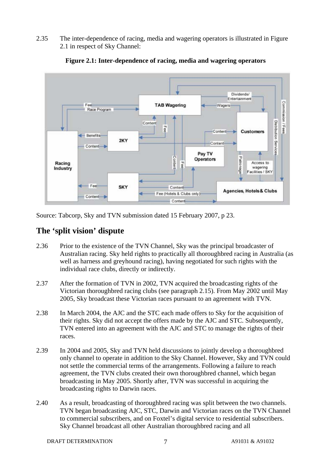2.35 The inter-dependence of racing, media and wagering operators is illustrated in Figure 2.1 in respect of Sky Channel:



**Figure 2.1: Inter-dependence of racing, media and wagering operators** 

Source: Tabcorp, Sky and TVN submission dated 15 February 2007, p 23.

# **The 'split vision' dispute**

- 2.36 Prior to the existence of the TVN Channel, Sky was the principal broadcaster of Australian racing. Sky held rights to practically all thoroughbred racing in Australia (as well as harness and greyhound racing), having negotiated for such rights with the individual race clubs, directly or indirectly.
- 2.37 After the formation of TVN in 2002, TVN acquired the broadcasting rights of the Victorian thoroughbred racing clubs (see paragraph 2.15). From May 2002 until May 2005, Sky broadcast these Victorian races pursuant to an agreement with TVN.
- 2.38 In March 2004, the AJC and the STC each made offers to Sky for the acquisition of their rights. Sky did not accept the offers made by the AJC and STC. Subsequently, TVN entered into an agreement with the AJC and STC to manage the rights of their races.
- 2.39 In 2004 and 2005, Sky and TVN held discussions to jointly develop a thoroughbred only channel to operate in addition to the Sky Channel. However, Sky and TVN could not settle the commercial terms of the arrangements. Following a failure to reach agreement, the TVN clubs created their own thoroughbred channel, which began broadcasting in May 2005. Shortly after, TVN was successful in acquiring the broadcasting rights to Darwin races.
- 2.40 As a result, broadcasting of thoroughbred racing was split between the two channels. TVN began broadcasting AJC, STC, Darwin and Victorian races on the TVN Channel to commercial subscribers, and on Foxtel's digital service to residential subscribers. Sky Channel broadcast all other Australian thoroughbred racing and all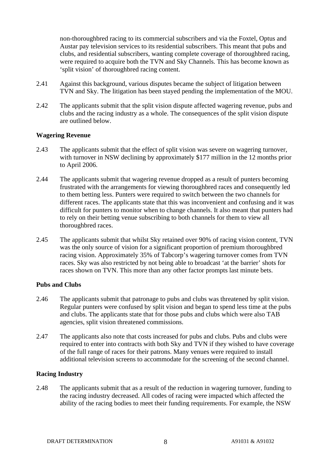non-thoroughbred racing to its commercial subscribers and via the Foxtel, Optus and Austar pay television services to its residential subscribers. This meant that pubs and clubs, and residential subscribers, wanting complete coverage of thoroughbred racing, were required to acquire both the TVN and Sky Channels. This has become known as 'split vision' of thoroughbred racing content.

- 2.41 Against this background, various disputes became the subject of litigation between TVN and Sky. The litigation has been stayed pending the implementation of the MOU.
- 2.42 The applicants submit that the split vision dispute affected wagering revenue, pubs and clubs and the racing industry as a whole. The consequences of the split vision dispute are outlined below.

### **Wagering Revenue**

- 2.43 The applicants submit that the effect of split vision was severe on wagering turnover, with turnover in NSW declining by approximately \$177 million in the 12 months prior to April 2006.
- 2.44 The applicants submit that wagering revenue dropped as a result of punters becoming frustrated with the arrangements for viewing thoroughbred races and consequently led to them betting less. Punters were required to switch between the two channels for different races. The applicants state that this was inconvenient and confusing and it was difficult for punters to monitor when to change channels. It also meant that punters had to rely on their betting venue subscribing to both channels for them to view all thoroughbred races.
- 2.45 The applicants submit that whilst Sky retained over 90% of racing vision content, TVN was the only source of vision for a significant proportion of premium thoroughbred racing vision. Approximately 35% of Tabcorp's wagering turnover comes from TVN races. Sky was also restricted by not being able to broadcast 'at the barrier' shots for races shown on TVN. This more than any other factor prompts last minute bets.

#### **Pubs and Clubs**

- 2.46 The applicants submit that patronage to pubs and clubs was threatened by split vision. Regular punters were confused by split vision and began to spend less time at the pubs and clubs. The applicants state that for those pubs and clubs which were also TAB agencies, split vision threatened commissions.
- 2.47 The applicants also note that costs increased for pubs and clubs. Pubs and clubs were required to enter into contracts with both Sky and TVN if they wished to have coverage of the full range of races for their patrons. Many venues were required to install additional television screens to accommodate for the screening of the second channel.

#### **Racing Industry**

2.48 The applicants submit that as a result of the reduction in wagering turnover, funding to the racing industry decreased. All codes of racing were impacted which affected the ability of the racing bodies to meet their funding requirements. For example, the NSW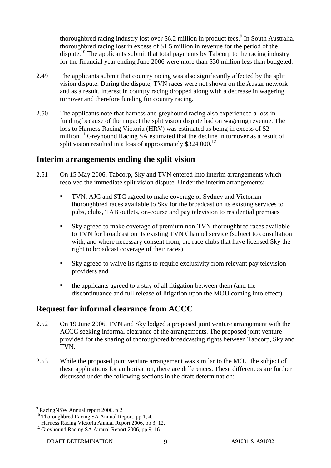thoroughbred racing industry lost over \$6.2 million in product fees.<sup>9</sup> In South Australia, thoroughbred racing lost in excess of \$1.5 million in revenue for the period of the dispute.<sup>10</sup> The applicants submit that total payments by Tabcorp to the racing industry for the financial year ending June 2006 were more than \$30 million less than budgeted.

- 2.49 The applicants submit that country racing was also significantly affected by the split vision dispute. During the dispute, TVN races were not shown on the Austar network and as a result, interest in country racing dropped along with a decrease in wagering turnover and therefore funding for country racing.
- 2.50 The applicants note that harness and greyhound racing also experienced a loss in funding because of the impact the split vision dispute had on wagering revenue. The loss to Harness Racing Victoria (HRV) was estimated as being in excess of \$2 million.<sup>11</sup> Greyhound Racing SA estimated that the decline in turnover as a result of split vision resulted in a loss of approximately  $$324,000$ .<sup>12</sup>

### **Interim arrangements ending the split vision**

- 2.51 On 15 May 2006, Tabcorp, Sky and TVN entered into interim arrangements which resolved the immediate split vision dispute. Under the interim arrangements:
	- TVN, AJC and STC agreed to make coverage of Sydney and Victorian thoroughbred races available to Sky for the broadcast on its existing services to pubs, clubs, TAB outlets, on-course and pay television to residential premises
	- Sky agreed to make coverage of premium non-TVN thoroughbred races available to TVN for broadcast on its existing TVN Channel service (subject to consultation with, and where necessary consent from, the race clubs that have licensed Sky the right to broadcast coverage of their races)
	- Sky agreed to waive its rights to require exclusivity from relevant pay television providers and
	- the applicants agreed to a stay of all litigation between them (and the discontinuance and full release of litigation upon the MOU coming into effect).

# **Request for informal clearance from ACCC**

- 2.52 On 19 June 2006, TVN and Sky lodged a proposed joint venture arrangement with the ACCC seeking informal clearance of the arrangements. The proposed joint venture provided for the sharing of thoroughbred broadcasting rights between Tabcorp, Sky and TVN.
- 2.53 While the proposed joint venture arrangement was similar to the MOU the subject of these applications for authorisation, there are differences. These differences are further discussed under the following sections in the draft determination:

<sup>&</sup>lt;sup>9</sup> RacingNSW Annual report 2006, p 2.

 $10$  Thoroughbred Racing SA Annual Report, pp 1, 4.

<sup>&</sup>lt;sup>11</sup> Harness Racing Victoria Annual Report 2006, pp 3, 12.

<sup>&</sup>lt;sup>12</sup> Greyhound Racing SA Annual Report 2006, pp 9, 16.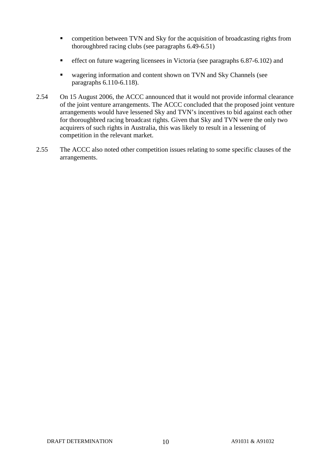- **EXECUTE:** competition between TVN and Sky for the acquisition of broadcasting rights from thoroughbred racing clubs (see paragraphs 6.49-6.51)
- **effect on future wagering licensees in Victoria (see paragraphs 6.87-6.102) and**
- wagering information and content shown on TVN and Sky Channels (see paragraphs 6.110-6.118).
- 2.54 On 15 August 2006, the ACCC announced that it would not provide informal clearance of the joint venture arrangements. The ACCC concluded that the proposed joint venture arrangements would have lessened Sky and TVN's incentives to bid against each other for thoroughbred racing broadcast rights. Given that Sky and TVN were the only two acquirers of such rights in Australia, this was likely to result in a lessening of competition in the relevant market.
- 2.55 The ACCC also noted other competition issues relating to some specific clauses of the arrangements.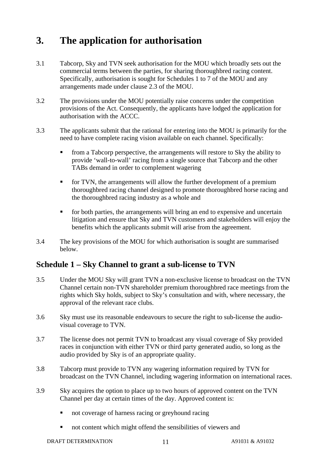# **3. The application for authorisation**

- 3.1 Tabcorp, Sky and TVN seek authorisation for the MOU which broadly sets out the commercial terms between the parties, for sharing thoroughbred racing content. Specifically, authorisation is sought for Schedules 1 to 7 of the MOU and any arrangements made under clause 2.3 of the MOU.
- 3.2 The provisions under the MOU potentially raise concerns under the competition provisions of the Act. Consequently, the applicants have lodged the application for authorisation with the ACCC.
- 3.3 The applicants submit that the rational for entering into the MOU is primarily for the need to have complete racing vision available on each channel. Specifically:
	- from a Tabcorp perspective, the arrangements will restore to Sky the ability to provide 'wall-to-wall' racing from a single source that Tabcorp and the other TABs demand in order to complement wagering
	- for TVN, the arrangements will allow the further development of a premium thoroughbred racing channel designed to promote thoroughbred horse racing and the thoroughbred racing industry as a whole and
	- for both parties, the arrangements will bring an end to expensive and uncertain litigation and ensure that Sky and TVN customers and stakeholders will enjoy the benefits which the applicants submit will arise from the agreement.
- 3.4 The key provisions of the MOU for which authorisation is sought are summarised below.

# **Schedule 1 – Sky Channel to grant a sub-license to TVN**

- 3.5 Under the MOU Sky will grant TVN a non-exclusive license to broadcast on the TVN Channel certain non-TVN shareholder premium thoroughbred race meetings from the rights which Sky holds, subject to Sky's consultation and with, where necessary, the approval of the relevant race clubs.
- 3.6 Sky must use its reasonable endeavours to secure the right to sub-license the audiovisual coverage to TVN.
- 3.7 The license does not permit TVN to broadcast any visual coverage of Sky provided races in conjunction with either TVN or third party generated audio, so long as the audio provided by Sky is of an appropriate quality.
- 3.8 Tabcorp must provide to TVN any wagering information required by TVN for broadcast on the TVN Channel, including wagering information on international races.
- 3.9 Sky acquires the option to place up to two hours of approved content on the TVN Channel per day at certain times of the day. Approved content is:
	- not coverage of harness racing or greyhound racing
	- not content which might offend the sensibilities of viewers and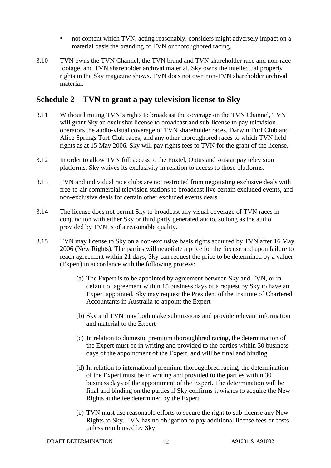- not content which TVN, acting reasonably, considers might adversely impact on a material basis the branding of TVN or thoroughbred racing.
- 3.10 TVN owns the TVN Channel, the TVN brand and TVN shareholder race and non-race footage, and TVN shareholder archival material. Sky owns the intellectual property rights in the Sky magazine shows. TVN does not own non-TVN shareholder archival material.

### **Schedule 2 – TVN to grant a pay television license to Sky**

- 3.11 Without limiting TVN's rights to broadcast the coverage on the TVN Channel, TVN will grant Sky an exclusive license to broadcast and sub-license to pay television operators the audio-visual coverage of TVN shareholder races, Darwin Turf Club and Alice Springs Turf Club races, and any other thoroughbred races to which TVN held rights as at 15 May 2006. Sky will pay rights fees to TVN for the grant of the license.
- 3.12 In order to allow TVN full access to the Foxtel, Optus and Austar pay television platforms, Sky waives its exclusivity in relation to access to those platforms.
- 3.13 TVN and individual race clubs are not restricted from negotiating exclusive deals with free-to-air commercial television stations to broadcast live certain excluded events, and non-exclusive deals for certain other excluded events deals.
- 3.14 The license does not permit Sky to broadcast any visual coverage of TVN races in conjunction with either Sky or third party generated audio, so long as the audio provided by TVN is of a reasonable quality.
- 3.15 TVN may license to Sky on a non-exclusive basis rights acquired by TVN after 16 May 2006 (New Rights). The parties will negotiate a price for the license and upon failure to reach agreement within 21 days, Sky can request the price to be determined by a valuer (Expert) in accordance with the following process:
	- (a) The Expert is to be appointed by agreement between Sky and TVN, or in default of agreement within 15 business days of a request by Sky to have an Expert appointed, Sky may request the President of the Institute of Chartered Accountants in Australia to appoint the Expert
	- (b) Sky and TVN may both make submissions and provide relevant information and material to the Expert
	- (c) In relation to domestic premium thoroughbred racing, the determination of the Expert must be in writing and provided to the parties within 30 business days of the appointment of the Expert, and will be final and binding
	- (d) In relation to international premium thoroughbred racing, the determination of the Expert must be in writing and provided to the parties within 30 business days of the appointment of the Expert. The determination will be final and binding on the parties if Sky confirms it wishes to acquire the New Rights at the fee determined by the Expert
	- (e) TVN must use reasonable efforts to secure the right to sub-license any New Rights to Sky. TVN has no obligation to pay additional license fees or costs unless reimbursed by Sky.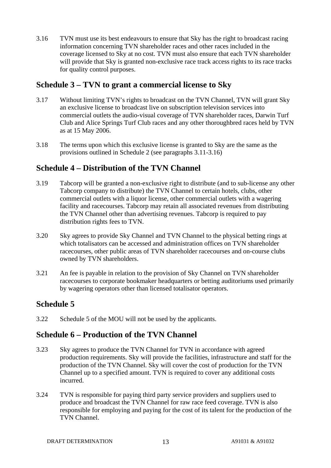3.16 TVN must use its best endeavours to ensure that Sky has the right to broadcast racing information concerning TVN shareholder races and other races included in the coverage licensed to Sky at no cost. TVN must also ensure that each TVN shareholder will provide that Sky is granted non-exclusive race track access rights to its race tracks for quality control purposes.

# **Schedule 3 – TVN to grant a commercial license to Sky**

- 3.17 Without limiting TVN's rights to broadcast on the TVN Channel, TVN will grant Sky an exclusive license to broadcast live on subscription television services into commercial outlets the audio-visual coverage of TVN shareholder races, Darwin Turf Club and Alice Springs Turf Club races and any other thoroughbred races held by TVN as at 15 May 2006.
- 3.18 The terms upon which this exclusive license is granted to Sky are the same as the provisions outlined in Schedule 2 (see paragraphs 3.11-3.16)

# **Schedule 4 – Distribution of the TVN Channel**

- 3.19 Tabcorp will be granted a non-exclusive right to distribute (and to sub-license any other Tabcorp company to distribute) the TVN Channel to certain hotels, clubs, other commercial outlets with a liquor license, other commercial outlets with a wagering facility and racecourses. Tabcorp may retain all associated revenues from distributing the TVN Channel other than advertising revenues. Tabcorp is required to pay distribution rights fees to TVN.
- 3.20 Sky agrees to provide Sky Channel and TVN Channel to the physical betting rings at which totalisators can be accessed and administration offices on TVN shareholder racecourses, other public areas of TVN shareholder racecourses and on-course clubs owned by TVN shareholders.
- 3.21 An fee is payable in relation to the provision of Sky Channel on TVN shareholder racecourses to corporate bookmaker headquarters or betting auditoriums used primarily by wagering operators other than licensed totalisator operators.

# **Schedule 5**

3.22 Schedule 5 of the MOU will not be used by the applicants.

# **Schedule 6 – Production of the TVN Channel**

- 3.23 Sky agrees to produce the TVN Channel for TVN in accordance with agreed production requirements. Sky will provide the facilities, infrastructure and staff for the production of the TVN Channel. Sky will cover the cost of production for the TVN Channel up to a specified amount. TVN is required to cover any additional costs incurred.
- 3.24 TVN is responsible for paying third party service providers and suppliers used to produce and broadcast the TVN Channel for raw race feed coverage. TVN is also responsible for employing and paying for the cost of its talent for the production of the TVN Channel.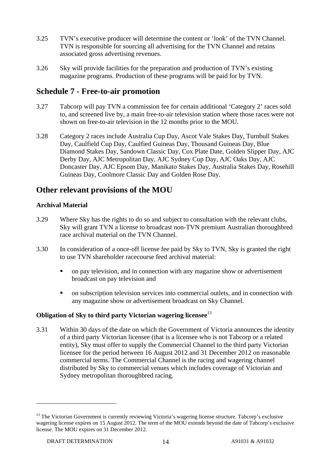- 3.25 TVN's executive producer will determine the content or 'look' of the TVN Channel. TVN is responsible for sourcing all advertising for the TVN Channel and retains associated gross advertising revenues.
- 3.26 Sky will provide facilities for the preparation and production of TVN's existing magazine programs. Production of these programs will be paid for by TVN.

# **Schedule 7 - Free-to-air promotion**

- 3.27 Tabcorp will pay TVN a commission fee for certain additional 'Category 2' races sold to, and screened live by, a main free-to-air television station where those races were not shown on free-to-air television in the 12 months prior to the MOU.
- 3.28 Category 2 races include Australia Cup Day, Ascot Vale Stakes Day, Turnbull Stakes Day, Caulfield Cup Day, Caulfied Guineas Day, Thousand Guineas Day, Blue Diamond Stakes Day, Sandown Classic Day, Cox Plate Date, Golden Slipper Day, AJC Derby Day, AJC Metropolitan Day, AJC Sydney Cup Day, AJC Oaks Day, AJC Doncaster Day, AJC Epsom Day, Manikato Stakes Day, Australia Stakes Day, Rosehill Guineas Day, Coolmore Classic Day and Golden Rose Day.

# **Other relevant provisions of the MOU**

### **Archival Material**

- 3.29 Where Sky has the rights to do so and subject to consultation with the relevant clubs, Sky will grant TVN a license to broadcast non-TVN premium Australian thoroughbred race archival material on the TVN Channel.
- 3.30 In consideration of a once-off license fee paid by Sky to TVN, Sky is granted the right to use TVN shareholder racecourse feed archival material:
	- on pay television, and in connection with any magazine show or advertisement broadcast on pay television and
	- on subscription television services into commercial outlets, and in connection with any magazine show or advertisement broadcast on Sky Channel.

### **Obligation of Sky to third party Victorian wagering licensee**<sup>13</sup>

3.31 Within 30 days of the date on which the Government of Victoria announces the identity of a third party Victorian licensee (that is a licensee who is not Tabcorp or a related entity), Sky must offer to supply the Commercial Channel to the third party Victorian licensee for the period between 16 August 2012 and 31 December 2012 on reasonable commercial terms. The Commercial Channel is the racing and wagering channel distributed by Sky to commercial venues which includes coverage of Victorian and Sydney metropolitan thoroughbred racing.

<sup>&</sup>lt;sup>13</sup> The Victorian Government is currently reviewing Victoria's wagering license structure. Tabcorp's exclusive wagering license expires on 15 August 2012. The term of the MOU extends beyond the date of Tabcorp's exclusive license. The MOU expires on 31 December 2012.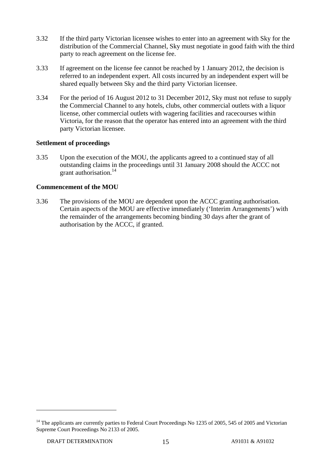- 3.32 If the third party Victorian licensee wishes to enter into an agreement with Sky for the distribution of the Commercial Channel, Sky must negotiate in good faith with the third party to reach agreement on the license fee.
- 3.33 If agreement on the license fee cannot be reached by 1 January 2012, the decision is referred to an independent expert. All costs incurred by an independent expert will be shared equally between Sky and the third party Victorian licensee.
- 3.34 For the period of 16 August 2012 to 31 December 2012, Sky must not refuse to supply the Commercial Channel to any hotels, clubs, other commercial outlets with a liquor license, other commercial outlets with wagering facilities and racecourses within Victoria, for the reason that the operator has entered into an agreement with the third party Victorian licensee.

### **Settlement of proceedings**

3.35 Upon the execution of the MOU, the applicants agreed to a continued stay of all outstanding claims in the proceedings until 31 January 2008 should the ACCC not grant authorisation.<sup>14</sup>

### **Commencement of the MOU**

3.36 The provisions of the MOU are dependent upon the ACCC granting authorisation. Certain aspects of the MOU are effective immediately ('Interim Arrangements') with the remainder of the arrangements becoming binding 30 days after the grant of authorisation by the ACCC, if granted.

<sup>&</sup>lt;sup>14</sup> The applicants are currently parties to Federal Court Proceedings No 1235 of 2005, 545 of 2005 and Victorian Supreme Court Proceedings No 2133 of 2005.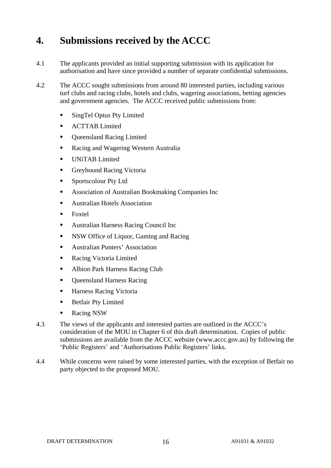# **4. Submissions received by the ACCC**

- 4.1 The applicants provided an initial supporting submission with its application for authorisation and have since provided a number of separate confidential submissions.
- 4.2 The ACCC sought submissions from around 80 interested parties, including various turf clubs and racing clubs, hotels and clubs, wagering associations, betting agencies and government agencies. The ACCC received public submissions from:
	- SingTel Optus Pty Limited
	- **ACTTAB Limited**
	- Oueensland Racing Limited
	- Racing and Wagering Western Australia
	- **UNITAB Limited**
	- Greyhound Racing Victoria
	- Sportscolour Pty Ltd
	- Association of Australian Bookmaking Companies Inc
	- Australian Hotels Association
	- Foxtel
	- Australian Harness Racing Council Inc
	- NSW Office of Liquor, Gaming and Racing
	- Australian Punters' Association
	- Racing Victoria Limited
	- Albion Park Harness Racing Club
	- Queensland Harness Racing
	- Harness Racing Victoria
	- **Betfair Pty Limited**
	- Racing NSW
- 4.3 The views of the applicants and interested parties are outlined in the ACCC's consideration of the MOU in Chapter 6 of this draft determination. Copies of public submissions are available from the ACCC website (www.accc.gov.au) by following the 'Public Registers' and 'Authorisations Public Registers' links.
- 4.4 While concerns were raised by some interested parties, with the exception of Betfair no party objected to the proposed MOU.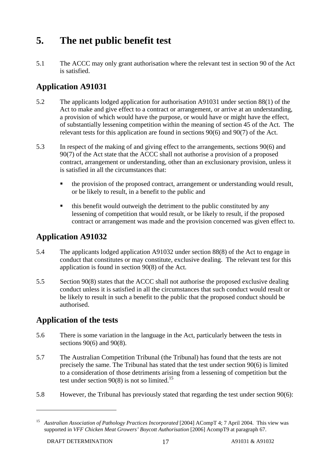# **5. The net public benefit test**

5.1 The ACCC may only grant authorisation where the relevant test in section 90 of the Act is satisfied.

# **Application A91031**

- 5.2 The applicants lodged application for authorisation A91031 under section 88(1) of the Act to make and give effect to a contract or arrangement, or arrive at an understanding, a provision of which would have the purpose, or would have or might have the effect, of substantially lessening competition within the meaning of section 45 of the Act. The relevant tests for this application are found in sections 90(6) and 90(7) of the Act.
- 5.3 In respect of the making of and giving effect to the arrangements, sections 90(6) and 90(7) of the Act state that the ACCC shall not authorise a provision of a proposed contract, arrangement or understanding, other than an exclusionary provision, unless it is satisfied in all the circumstances that:
	- the provision of the proposed contract, arrangement or understanding would result, or be likely to result, in a benefit to the public and
	- this benefit would outweigh the detriment to the public constituted by any lessening of competition that would result, or be likely to result, if the proposed contract or arrangement was made and the provision concerned was given effect to.

# **Application A91032**

- 5.4 The applicants lodged application A91032 under section 88(8) of the Act to engage in conduct that constitutes or may constitute, exclusive dealing. The relevant test for this application is found in section 90(8) of the Act.
- 5.5 Section 90(8) states that the ACCC shall not authorise the proposed exclusive dealing conduct unless it is satisfied in all the circumstances that such conduct would result or be likely to result in such a benefit to the public that the proposed conduct should be authorised.

# **Application of the tests**

- 5.6 There is some variation in the language in the Act, particularly between the tests in sections 90(6) and 90(8).
- 5.7 The Australian Competition Tribunal (the Tribunal) has found that the tests are not precisely the same. The Tribunal has stated that the test under section 90(6) is limited to a consideration of those detriments arising from a lessening of competition but the test under section  $90(8)$  is not so limited.<sup>15</sup>
- 5.8 However, the Tribunal has previously stated that regarding the test under section 90(6):

<sup>&</sup>lt;sup>15</sup> Australian Association of Pathology Practices Incorporated [2004] ACompT 4; 7 April 2004. This view was supported in *VFF Chicken Meat Growers' Boycott Authorisation* [2006] AcompT9 at paragraph 67.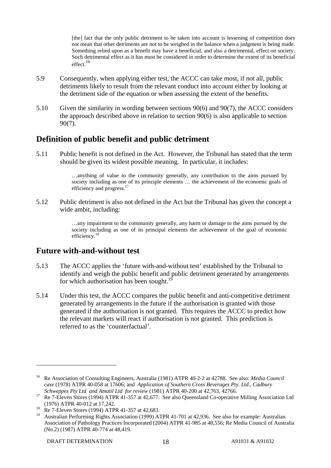[the] fact that the only public detriment to be taken into account is lessening of competition does not mean that other detriments are not to be weighed in the balance when a judgment is being made. Something relied upon as a benefit may have a beneficial, and also a detrimental, effect on society. Such detrimental effect as it has must be considered in order to determine the extent of its beneficial effect.16

- 5.9 Consequently, when applying either test, the ACCC can take most, if not all, public detriments likely to result from the relevant conduct into account either by looking at the detriment side of the equation or when assessing the extent of the benefits.
- 5.10 Given the similarity in wording between sections 90(6) and 90(7), the ACCC considers the approach described above in relation to section 90(6) is also applicable to section 90(7).

# **Definition of public benefit and public detriment**

5.11 Public benefit is not defined in the Act. However, the Tribunal has stated that the term should be given its widest possible meaning. In particular, it includes:

> …anything of value to the community generally, any contribution to the aims pursued by society including as one of its principle elements … the achievement of the economic goals of efficiency and progress. $17$

5.12 Public detriment is also not defined in the Act but the Tribunal has given the concept a wide ambit, including:

> …any impairment to the community generally, any harm or damage to the aims pursued by the society including as one of its principal elements the achievement of the goal of economic efficiency.<sup>18</sup>

### **Future with-and-without test**

- 5.13 The ACCC applies the 'future with-and-without test' established by the Tribunal to identify and weigh the public benefit and public detriment generated by arrangements for which authorisation has been sought.<sup>1</sup>
- 5.14 Under this test, the ACCC compares the public benefit and anti-competitive detriment generated by arrangements in the future if the authorisation is granted with those generated if the authorisation is not granted. This requires the ACCC to predict how the relevant markets will react if authorisation is not granted. This prediction is referred to as the 'counterfactual'.

<sup>16</sup> Re Association of Consulting Engineers, Australia (1981) ATPR 40-2-2 at 42788. See also: *Media Council case* (1978) ATPR 40-058 at 17606; and *Application of Southern Cross Beverages Pty. Ltd., Cadbury* 

*Schweppes Pty Ltd and Amatil Ltd for review* (1981) ATPR 40-200 at 42,763, 42766. 17 Re 7-Eleven Stores (1994) ATPR 41-357 at 42,677. See also Queensland Co-operative Milling Association Ltd

<sup>(1976)</sup> ATPR 40-012 at 17,242.<br><sup>18</sup> Re 7-Eleven Stores (1994) ATPR 41-357 at 42,683.

<sup>19</sup> Australian Performing Rights Association (1999) ATPR 41-701 at 42,936. See also for example: Australian Association of Pathology Practices Incorporated (2004) ATPR 41-985 at 48,556; Re Media Council of Australia (No.2) (1987) ATPR 40-774 at 48,419.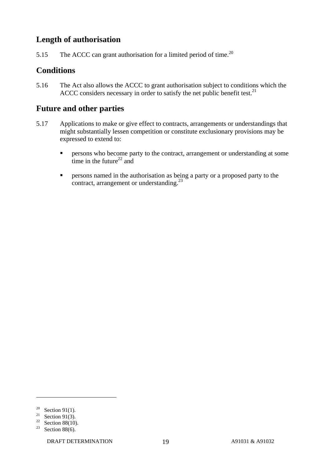# **Length of authorisation**

5.15 The ACCC can grant authorisation for a limited period of time.<sup>20</sup>

# **Conditions**

5.16 The Act also allows the ACCC to grant authorisation subject to conditions which the ACCC considers necessary in order to satisfy the net public benefit test. $^{21}$ 

# **Future and other parties**

- 5.17 Applications to make or give effect to contracts, arrangements or understandings that might substantially lessen competition or constitute exclusionary provisions may be expressed to extend to:
	- **Persons who become party to the contract, arrangement or understanding at some** time in the future<sup>22</sup> and
	- **Persons named in the authorisation as being a party or a proposed party to the** contract, arrangement or understanding.<sup>23</sup>

<sup>&</sup>lt;sup>20</sup> Section 91(1).

<sup>&</sup>lt;sup>21</sup> Section 91(3).

<sup>&</sup>lt;sup>22</sup> Section 88(10).

<sup>&</sup>lt;sup>23</sup> Section 88(6).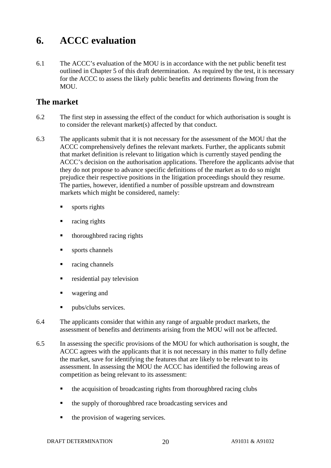# **6. ACCC evaluation**

6.1 The ACCC's evaluation of the MOU is in accordance with the net public benefit test outlined in Chapter 5 of this draft determination. As required by the test, it is necessary for the ACCC to assess the likely public benefits and detriments flowing from the MOU.

# **The market**

- 6.2 The first step in assessing the effect of the conduct for which authorisation is sought is to consider the relevant market(s) affected by that conduct.
- 6.3 The applicants submit that it is not necessary for the assessment of the MOU that the ACCC comprehensively defines the relevant markets. Further, the applicants submit that market definition is relevant to litigation which is currently stayed pending the ACCC's decision on the authorisation applications. Therefore the applicants advise that they do not propose to advance specific definitions of the market as to do so might prejudice their respective positions in the litigation proceedings should they resume. The parties, however, identified a number of possible upstream and downstream markets which might be considered, namely:
	- sports rights
	- racing rights
	- thoroughbred racing rights
	- sports channels
	- racing channels
	- **residential pay television**
	- **u** wagering and
	- pubs/clubs services.
- 6.4 The applicants consider that within any range of arguable product markets, the assessment of benefits and detriments arising from the MOU will not be affected.
- 6.5 In assessing the specific provisions of the MOU for which authorisation is sought, the ACCC agrees with the applicants that it is not necessary in this matter to fully define the market, save for identifying the features that are likely to be relevant to its assessment. In assessing the MOU the ACCC has identified the following areas of competition as being relevant to its assessment:
	- the acquisition of broadcasting rights from thoroughbred racing clubs
	- the supply of thoroughbred race broadcasting services and
	- $\blacksquare$  the provision of wagering services.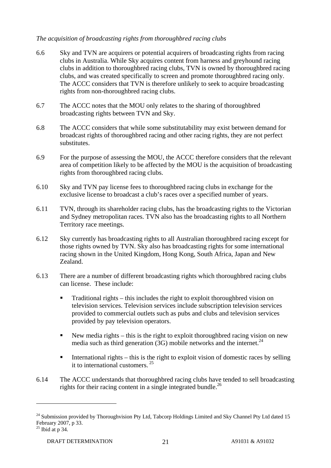### *The acquisition of broadcasting rights from thoroughbred racing clubs*

- 6.6 Sky and TVN are acquirers or potential acquirers of broadcasting rights from racing clubs in Australia. While Sky acquires content from harness and greyhound racing clubs in addition to thoroughbred racing clubs, TVN is owned by thoroughbred racing clubs, and was created specifically to screen and promote thoroughbred racing only. The ACCC considers that TVN is therefore unlikely to seek to acquire broadcasting rights from non-thoroughbred racing clubs.
- 6.7 The ACCC notes that the MOU only relates to the sharing of thoroughbred broadcasting rights between TVN and Sky.
- 6.8 The ACCC considers that while some substitutability may exist between demand for broadcast rights of thoroughbred racing and other racing rights, they are not perfect substitutes.
- 6.9 For the purpose of assessing the MOU, the ACCC therefore considers that the relevant area of competition likely to be affected by the MOU is the acquisition of broadcasting rights from thoroughbred racing clubs.
- 6.10 Sky and TVN pay license fees to thoroughbred racing clubs in exchange for the exclusive license to broadcast a club's races over a specified number of years.
- 6.11 TVN, through its shareholder racing clubs, has the broadcasting rights to the Victorian and Sydney metropolitan races. TVN also has the broadcasting rights to all Northern Territory race meetings.
- 6.12 Sky currently has broadcasting rights to all Australian thoroughbred racing except for those rights owned by TVN. Sky also has broadcasting rights for some international racing shown in the United Kingdom, Hong Kong, South Africa, Japan and New Zealand.
- 6.13 There are a number of different broadcasting rights which thoroughbred racing clubs can license. These include:
	- **Traditional rights this includes the right to exploit thoroughbred vision on** television services. Television services include subscription television services provided to commercial outlets such as pubs and clubs and television services provided by pay television operators.
	- New media rights this is the right to exploit thoroughbred racing vision on new media such as third generation (3G) mobile networks and the internet.<sup>24</sup>
	- International rights this is the right to exploit vision of domestic races by selling it to international customers. 25
- 6.14 The ACCC understands that thoroughbred racing clubs have tended to sell broadcasting rights for their racing content in a single integrated bundle.<sup>26</sup>

<sup>&</sup>lt;sup>24</sup> Submission provided by Thoroughvision Pty Ltd, Tabcorp Holdings Limited and Sky Channel Pty Ltd dated 15 February 2007, p 33.

 $25$  Ibid at p 34.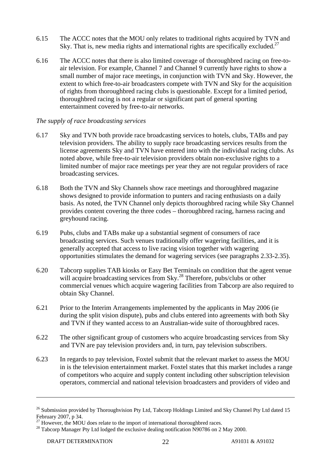- 6.15 The ACCC notes that the MOU only relates to traditional rights acquired by TVN and Sky. That is, new media rights and international rights are specifically excluded.<sup>27</sup>
- 6.16 The ACCC notes that there is also limited coverage of thoroughbred racing on free-toair television. For example, Channel 7 and Channel 9 currently have rights to show a small number of major race meetings, in conjunction with TVN and Sky. However, the extent to which free-to-air broadcasters compete with TVN and Sky for the acquisition of rights from thoroughbred racing clubs is questionable. Except for a limited period, thoroughbred racing is not a regular or significant part of general sporting entertainment covered by free-to-air networks.

#### *The supply of race broadcasting services*

- 6.17 Sky and TVN both provide race broadcasting services to hotels, clubs, TABs and pay television providers. The ability to supply race broadcasting services results from the license agreements Sky and TVN have entered into with the individual racing clubs. As noted above, while free-to-air television providers obtain non-exclusive rights to a limited number of major race meetings per year they are not regular providers of race broadcasting services.
- 6.18 Both the TVN and Sky Channels show race meetings and thoroughbred magazine shows designed to provide information to punters and racing enthusiasts on a daily basis. As noted, the TVN Channel only depicts thoroughbred racing while Sky Channel provides content covering the three codes – thoroughbred racing, harness racing and greyhound racing.
- 6.19 Pubs, clubs and TABs make up a substantial segment of consumers of race broadcasting services. Such venues traditionally offer wagering facilities, and it is generally accepted that access to live racing vision together with wagering opportunities stimulates the demand for wagering services (see paragraphs 2.33-2.35).
- 6.20 Tabcorp supplies TAB kiosks or Easy Bet Terminals on condition that the agent venue will acquire broadcasting services from Sky.<sup>28</sup> Therefore, pubs/clubs or other commercial venues which acquire wagering facilities from Tabcorp are also required to obtain Sky Channel.
- 6.21 Prior to the Interim Arrangements implemented by the applicants in May 2006 (ie during the split vision dispute), pubs and clubs entered into agreements with both Sky and TVN if they wanted access to an Australian-wide suite of thoroughbred races.
- 6.22 The other significant group of customers who acquire broadcasting services from Sky and TVN are pay television providers and, in turn, pay television subscribers.
- 6.23 In regards to pay television, Foxtel submit that the relevant market to assess the MOU in is the television entertainment market. Foxtel states that this market includes a range of competitors who acquire and supply content including other subscription television operators, commercial and national television broadcasters and providers of video and

1

<sup>&</sup>lt;sup>26</sup> Submission provided by Thoroughvision Pty Ltd, Tabcorp Holdings Limited and Sky Channel Pty Ltd dated 15 February 2007, p 34.<br> $^{27}$  However, the MOU does relate to the import of international thoroughbred races.

<sup>&</sup>lt;sup>28</sup> Tabcorp Manager Pty Ltd lodged the exclusive dealing notification N90786 on 2 May 2000.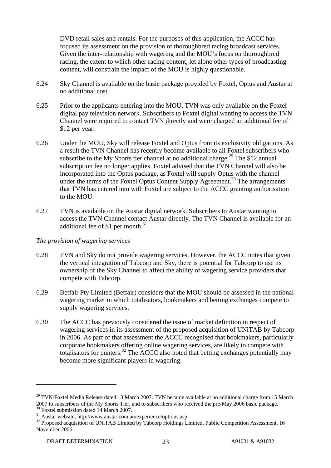DVD retail sales and rentals. For the purposes of this application, the ACCC has focused its assessment on the provision of thoroughbred racing broadcast services. Given the inter-relationship with wagering and the MOU's focus on thoroughbred racing, the extent to which other racing content, let alone other types of broadcasting content, will constrain the impact of the MOU is highly questionable.

- 6.24 Sky Channel is available on the basic package provided by Foxtel, Optus and Austar at no additional cost.
- 6.25 Prior to the applicants entering into the MOU, TVN was only available on the Foxtel digital pay television network. Subscribers to Foxtel digital wanting to access the TVN Channel were required to contact TVN directly and were charged an additional fee of \$12 per year.
- 6.26 Under the MOU, Sky will release Foxtel and Optus from its exclusivity obligations. As a result the TVN Channel has recently become available to all Foxtel subscribers who subscribe to the My Sports tier channel at no additional charge.<sup>29</sup> The \$12 annual subscription fee no longer applies. Foxtel advised that the TVN Channel will also be incorporated into the Optus package, as Foxtel will supply Optus with the channel under the terms of the Foxtel Optus Content Supply Agreement.<sup>30</sup> The arrangements that TVN has entered into with Foxtel are subject to the ACCC granting authorisation to the MOU.
- 6.27 TVN is available on the Austar digital network. Subscribers to Austar wanting to access the TVN Channel contact Austar directly. The TVN Channel is available for an additional fee of \$1 per month.<sup>31</sup>

#### *The provision of wagering services*

- 6.28 TVN and Sky do not provide wagering services. However, the ACCC notes that given the vertical integration of Tabcorp and Sky, there is potential for Tabcorp to use its ownership of the Sky Channel to affect the ability of wagering service providers that compete with Tabcorp.
- 6.29 Betfair Pty Limited (Betfair) considers that the MOU should be assessed in the national wagering market in which totalisators, bookmakers and betting exchanges compete to supply wagering services.
- 6.30 The ACCC has previously considered the issue of market definition in respect of wagering services in its assessment of the proposed acquisition of UNiTAB by Tabcorp in 2006. As part of that assessment the ACCC recognised that bookmakers, particularly corporate bookmakers offering online wagering services, are likely to compete with totalisators for punters.<sup>32</sup> The ACCC also noted that betting exchanges potentially may become more significant players in wagering.

 $29$  TVN/Foxtel Media Release dated 13 March 2007. TVN became available at no additional charge from 15 March 2007 to subscribers of the My Sports Tier, and to subscribers who received the pre-May 2006 basic package. 30 Foxtel submission dated 14 March 2007.

<sup>31</sup> Austar website, http://www.austar.com.au/experience/options.asp

<sup>&</sup>lt;sup>32</sup> Proposed acquisition of UNiTAB Limited by Tabcorp Holdings Limited, Public Competition Assessment, 16 November 2006.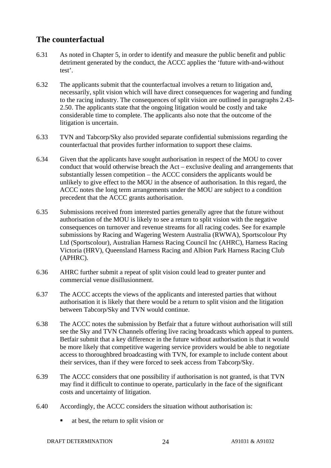# **The counterfactual**

- 6.31 As noted in Chapter 5, in order to identify and measure the public benefit and public detriment generated by the conduct, the ACCC applies the 'future with-and-without test'.
- 6.32 The applicants submit that the counterfactual involves a return to litigation and, necessarily, split vision which will have direct consequences for wagering and funding to the racing industry. The consequences of split vision are outlined in paragraphs 2.43- 2.50. The applicants state that the ongoing litigation would be costly and take considerable time to complete. The applicants also note that the outcome of the litigation is uncertain.
- 6.33 TVN and Tabcorp/Sky also provided separate confidential submissions regarding the counterfactual that provides further information to support these claims.
- 6.34 Given that the applicants have sought authorisation in respect of the MOU to cover conduct that would otherwise breach the Act – exclusive dealing and arrangements that substantially lessen competition – the ACCC considers the applicants would be unlikely to give effect to the MOU in the absence of authorisation. In this regard, the ACCC notes the long term arrangements under the MOU are subject to a condition precedent that the ACCC grants authorisation.
- 6.35 Submissions received from interested parties generally agree that the future without authorisation of the MOU is likely to see a return to split vision with the negative consequences on turnover and revenue streams for all racing codes. See for example submissions by Racing and Wagering Western Australia (RWWA), Sportscolour Pty Ltd (Sportscolour), Australian Harness Racing Council Inc (AHRC), Harness Racing Victoria (HRV), Queensland Harness Racing and Albion Park Harness Racing Club (APHRC).
- 6.36 AHRC further submit a repeat of split vision could lead to greater punter and commercial venue disillusionment.
- 6.37 The ACCC accepts the views of the applicants and interested parties that without authorisation it is likely that there would be a return to split vision and the litigation between Tabcorp/Sky and TVN would continue.
- 6.38 The ACCC notes the submission by Betfair that a future without authorisation will still see the Sky and TVN Channels offering live racing broadcasts which appeal to punters. Betfair submit that a key difference in the future without authorisation is that it would be more likely that competitive wagering service providers would be able to negotiate access to thoroughbred broadcasting with TVN, for example to include content about their services, than if they were forced to seek access from Tabcorp/Sky.
- 6.39 The ACCC considers that one possibility if authorisation is not granted, is that TVN may find it difficult to continue to operate, particularly in the face of the significant costs and uncertainty of litigation.
- 6.40 Accordingly, the ACCC considers the situation without authorisation is:
	- at best, the return to split vision or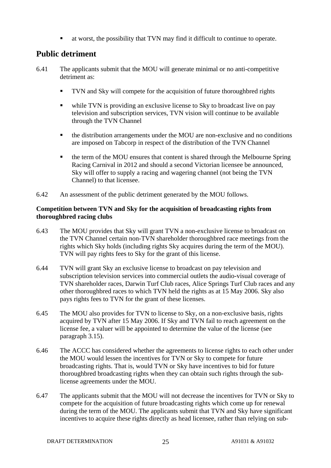at worst, the possibility that TVN may find it difficult to continue to operate.

# **Public detriment**

- 6.41 The applicants submit that the MOU will generate minimal or no anti-competitive detriment as:
	- TVN and Sky will compete for the acquisition of future thoroughbred rights
	- while TVN is providing an exclusive license to Sky to broadcast live on pay television and subscription services, TVN vision will continue to be available through the TVN Channel
	- the distribution arrangements under the MOU are non-exclusive and no conditions are imposed on Tabcorp in respect of the distribution of the TVN Channel
	- the term of the MOU ensures that content is shared through the Melbourne Spring Racing Carnival in 2012 and should a second Victorian licensee be announced, Sky will offer to supply a racing and wagering channel (not being the TVN Channel) to that licensee.
- 6.42 An assessment of the public detriment generated by the MOU follows.

### **Competition between TVN and Sky for the acquisition of broadcasting rights from thoroughbred racing clubs**

- 6.43 The MOU provides that Sky will grant TVN a non-exclusive license to broadcast on the TVN Channel certain non-TVN shareholder thoroughbred race meetings from the rights which Sky holds (including rights Sky acquires during the term of the MOU). TVN will pay rights fees to Sky for the grant of this license.
- 6.44 TVN will grant Sky an exclusive license to broadcast on pay television and subscription television services into commercial outlets the audio-visual coverage of TVN shareholder races, Darwin Turf Club races, Alice Springs Turf Club races and any other thoroughbred races to which TVN held the rights as at 15 May 2006. Sky also pays rights fees to TVN for the grant of these licenses.
- 6.45 The MOU also provides for TVN to license to Sky, on a non-exclusive basis, rights acquired by TVN after 15 May 2006. If Sky and TVN fail to reach agreement on the license fee, a valuer will be appointed to determine the value of the license (see paragraph 3.15).
- 6.46 The ACCC has considered whether the agreements to license rights to each other under the MOU would lessen the incentives for TVN or Sky to compete for future broadcasting rights. That is, would TVN or Sky have incentives to bid for future thoroughbred broadcasting rights when they can obtain such rights through the sublicense agreements under the MOU.
- 6.47 The applicants submit that the MOU will not decrease the incentives for TVN or Sky to compete for the acquisition of future broadcasting rights which come up for renewal during the term of the MOU. The applicants submit that TVN and Sky have significant incentives to acquire these rights directly as head licensee, rather than relying on sub-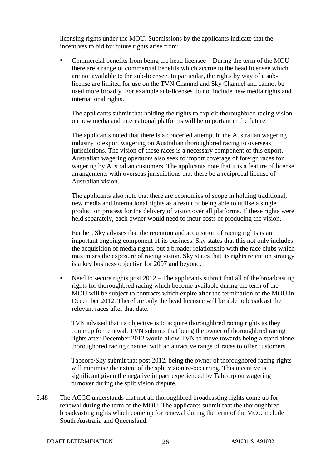licensing rights under the MOU. Submissions by the applicants indicate that the incentives to bid for future rights arise from:

 Commercial benefits from being the head licensee – During the term of the MOU there are a range of commercial benefits which accrue to the head licensee which are not available to the sub-licensee. In particular, the rights by way of a sublicense are limited for use on the TVN Channel and Sky Channel and cannot be used more broadly. For example sub-licenses do not include new media rights and international rights.

 The applicants submit that holding the rights to exploit thoroughbred racing vision on new media and international platforms will be important in the future.

 The applicants noted that there is a concerted attempt in the Australian wagering industry to export wagering on Australian thoroughbred racing to overseas jurisdictions. The vision of these races is a necessary component of this export. Australian wagering operators also seek to import coverage of foreign races for wagering by Australian customers. The applicants note that it is a feature of license arrangements with overseas jurisdictions that there be a reciprocal license of Australian vision.

 The applicants also note that there are economies of scope in holding traditional, new media and international rights as a result of being able to utilise a single production process for the delivery of vision over all platforms. If these rights were held separately, each owner would need to incur costs of producing the vision.

 Further, Sky advises that the retention and acquisition of racing rights is an important ongoing component of its business. Sky states that this not only includes the acquisition of media rights, but a broader relationship with the race clubs which maximises the exposure of racing vision. Sky states that its rights retention strategy is a key business objective for 2007 and beyond.

 Need to secure rights post 2012 – The applicants submit that all of the broadcasting rights for thoroughbred racing which become available during the term of the MOU will be subject to contracts which expire after the termination of the MOU in December 2012. Therefore only the head licensee will be able to broadcast the relevant races after that date.

TVN advised that its objective is to acquire thoroughbred racing rights as they come up for renewal. TVN submits that being the owner of thoroughbred racing rights after December 2012 would allow TVN to move towards being a stand alone thoroughbred racing channel with an attractive range of races to offer customers.

Tabcorp/Sky submit that post 2012, being the owner of thoroughbred racing rights will minimise the extent of the split vision re-occurring. This incentive is significant given the negative impact experienced by Tabcorp on wagering turnover during the split vision dispute.

6.48 The ACCC understands that not all thoroughbred broadcasting rights come up for renewal during the term of the MOU. The applicants submit that the thoroughbred broadcasting rights which come up for renewal during the term of the MOU include South Australia and Queensland.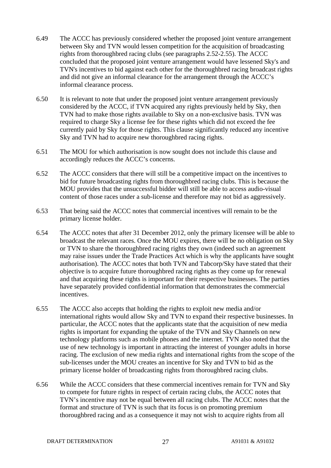- 6.49 The ACCC has previously considered whether the proposed joint venture arrangement between Sky and TVN would lessen competition for the acquisition of broadcasting rights from thoroughbred racing clubs (see paragraphs 2.52-2.55). The ACCC concluded that the proposed joint venture arrangement would have lessened Sky's and TVN's incentives to bid against each other for the thoroughbred racing broadcast rights and did not give an informal clearance for the arrangement through the ACCC's informal clearance process.
- 6.50 It is relevant to note that under the proposed joint venture arrangement previously considered by the ACCC, if TVN acquired any rights previously held by Sky, then TVN had to make those rights available to Sky on a non-exclusive basis. TVN was required to charge Sky a license fee for these rights which did not exceed the fee currently paid by Sky for those rights. This clause significantly reduced any incentive Sky and TVN had to acquire new thoroughbred racing rights.
- 6.51 The MOU for which authorisation is now sought does not include this clause and accordingly reduces the ACCC's concerns.
- 6.52 The ACCC considers that there will still be a competitive impact on the incentives to bid for future broadcasting rights from thoroughbred racing clubs. This is because the MOU provides that the unsuccessful bidder will still be able to access audio-visual content of those races under a sub-license and therefore may not bid as aggressively.
- 6.53 That being said the ACCC notes that commercial incentives will remain to be the primary license holder.
- 6.54 The ACCC notes that after 31 December 2012, only the primary licensee will be able to broadcast the relevant races. Once the MOU expires, there will be no obligation on Sky or TVN to share the thoroughbred racing rights they own (indeed such an agreement may raise issues under the Trade Practices Act which is why the applicants have sought authorisation). The ACCC notes that both TVN and Tabcorp/Sky have stated that their objective is to acquire future thoroughbred racing rights as they come up for renewal and that acquiring these rights is important for their respective businesses. The parties have separately provided confidential information that demonstrates the commercial incentives.
- 6.55 The ACCC also accepts that holding the rights to exploit new media and/or international rights would allow Sky and TVN to expand their respective businesses. In particular, the ACCC notes that the applicants state that the acquisition of new media rights is important for expanding the uptake of the TVN and Sky Channels on new technology platforms such as mobile phones and the internet. TVN also noted that the use of new technology is important in attracting the interest of younger adults in horse racing. The exclusion of new media rights and international rights from the scope of the sub-licenses under the MOU creates an incentive for Sky and TVN to bid as the primary license holder of broadcasting rights from thoroughbred racing clubs.
- 6.56 While the ACCC considers that these commercial incentives remain for TVN and Sky to compete for future rights in respect of certain racing clubs, the ACCC notes that TVN's incentive may not be equal between all racing clubs. The ACCC notes that the format and structure of TVN is such that its focus is on promoting premium thoroughbred racing and as a consequence it may not wish to acquire rights from all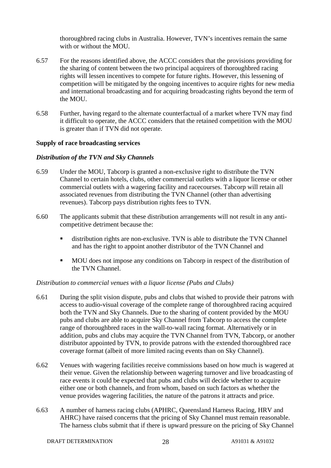thoroughbred racing clubs in Australia. However, TVN's incentives remain the same with or without the MOU.

- 6.57 For the reasons identified above, the ACCC considers that the provisions providing for the sharing of content between the two principal acquirers of thoroughbred racing rights will lessen incentives to compete for future rights. However, this lessening of competition will be mitigated by the ongoing incentives to acquire rights for new media and international broadcasting and for acquiring broadcasting rights beyond the term of the MOU.
- 6.58 Further, having regard to the alternate counterfactual of a market where TVN may find it difficult to operate, the ACCC considers that the retained competition with the MOU is greater than if TVN did not operate.

### **Supply of race broadcasting services**

### *Distribution of the TVN and Sky Channels*

- 6.59 Under the MOU, Tabcorp is granted a non-exclusive right to distribute the TVN Channel to certain hotels, clubs, other commercial outlets with a liquor license or other commercial outlets with a wagering facility and racecourses. Tabcorp will retain all associated revenues from distributing the TVN Channel (other than advertising revenues). Tabcorp pays distribution rights fees to TVN.
- 6.60 The applicants submit that these distribution arrangements will not result in any anticompetitive detriment because the:
	- distribution rights are non-exclusive. TVN is able to distribute the TVN Channel and has the right to appoint another distributor of the TVN Channel and
	- MOU does not impose any conditions on Tabcorp in respect of the distribution of the TVN Channel.

#### *Distribution to commercial venues with a liquor license (Pubs and Clubs)*

- 6.61 During the split vision dispute, pubs and clubs that wished to provide their patrons with access to audio-visual coverage of the complete range of thoroughbred racing acquired both the TVN and Sky Channels. Due to the sharing of content provided by the MOU pubs and clubs are able to acquire Sky Channel from Tabcorp to access the complete range of thoroughbred races in the wall-to-wall racing format. Alternatively or in addition, pubs and clubs may acquire the TVN Channel from TVN, Tabcorp, or another distributor appointed by TVN, to provide patrons with the extended thoroughbred race coverage format (albeit of more limited racing events than on Sky Channel).
- 6.62 Venues with wagering facilities receive commissions based on how much is wagered at their venue. Given the relationship between wagering turnover and live broadcasting of race events it could be expected that pubs and clubs will decide whether to acquire either one or both channels, and from whom, based on such factors as whether the venue provides wagering facilities, the nature of the patrons it attracts and price.
- 6.63 A number of harness racing clubs (APHRC, Queensland Harness Racing, HRV and AHRC) have raised concerns that the pricing of Sky Channel must remain reasonable. The harness clubs submit that if there is upward pressure on the pricing of Sky Channel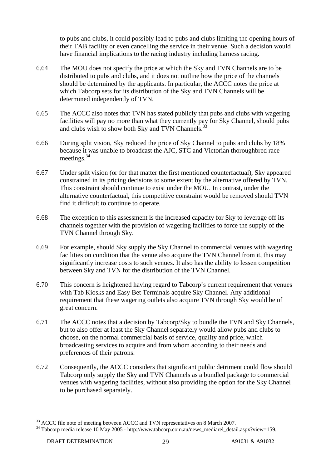to pubs and clubs, it could possibly lead to pubs and clubs limiting the opening hours of their TAB facility or even cancelling the service in their venue. Such a decision would have financial implications to the racing industry including harness racing.

- 6.64 The MOU does not specify the price at which the Sky and TVN Channels are to be distributed to pubs and clubs, and it does not outline how the price of the channels should be determined by the applicants. In particular, the ACCC notes the price at which Tabcorp sets for its distribution of the Sky and TVN Channels will be determined independently of TVN.
- 6.65 The ACCC also notes that TVN has stated publicly that pubs and clubs with wagering facilities will pay no more than what they currently pay for Sky Channel, should pubs and clubs wish to show both Sky and TVN Channels.<sup>33</sup>
- 6.66 During split vision, Sky reduced the price of Sky Channel to pubs and clubs by 18% because it was unable to broadcast the AJC, STC and Victorian thoroughbred race meetings.34
- 6.67 Under split vision (or for that matter the first mentioned counterfactual), Sky appeared constrained in its pricing decisions to some extent by the alternative offered by TVN. This constraint should continue to exist under the MOU. In contrast, under the alternative counterfactual, this competitive constraint would be removed should TVN find it difficult to continue to operate.
- 6.68 The exception to this assessment is the increased capacity for Sky to leverage off its channels together with the provision of wagering facilities to force the supply of the TVN Channel through Sky.
- 6.69 For example, should Sky supply the Sky Channel to commercial venues with wagering facilities on condition that the venue also acquire the TVN Channel from it, this may significantly increase costs to such venues. It also has the ability to lessen competition between Sky and TVN for the distribution of the TVN Channel.
- 6.70 This concern is heightened having regard to Tabcorp's current requirement that venues with Tab Kiosks and Easy Bet Terminals acquire Sky Channel. Any additional requirement that these wagering outlets also acquire TVN through Sky would be of great concern.
- 6.71 The ACCC notes that a decision by Tabcorp/Sky to bundle the TVN and Sky Channels, but to also offer at least the Sky Channel separately would allow pubs and clubs to choose, on the normal commercial basis of service, quality and price, which broadcasting services to acquire and from whom according to their needs and preferences of their patrons.
- 6.72 Consequently, the ACCC considers that significant public detriment could flow should Tabcorp only supply the Sky and TVN Channels as a bundled package to commercial venues with wagering facilities, without also providing the option for the Sky Channel to be purchased separately.

<sup>&</sup>lt;sup>33</sup> ACCC file note of meeting between ACCC and TVN representatives on 8 March 2007.<br><sup>34</sup> Tabcorp media release 10 May 2005 - http://www.tabcorp.com.au/news\_mediarel\_detail.aspx?view=159.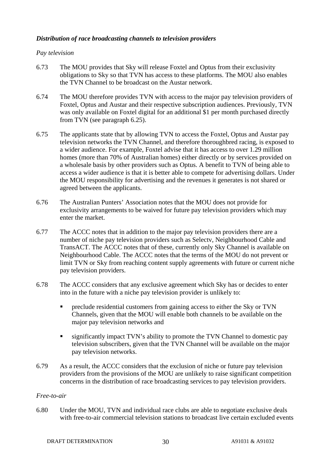### *Distribution of race broadcasting channels to television providers*

#### *Pay television*

- 6.73 The MOU provides that Sky will release Foxtel and Optus from their exclusivity obligations to Sky so that TVN has access to these platforms. The MOU also enables the TVN Channel to be broadcast on the Austar network.
- 6.74 The MOU therefore provides TVN with access to the major pay television providers of Foxtel, Optus and Austar and their respective subscription audiences. Previously, TVN was only available on Foxtel digital for an additional \$1 per month purchased directly from TVN (see paragraph 6.25).
- 6.75 The applicants state that by allowing TVN to access the Foxtel, Optus and Austar pay television networks the TVN Channel, and therefore thoroughbred racing, is exposed to a wider audience. For example, Foxtel advise that it has access to over 1.29 million homes (more than 70% of Australian homes) either directly or by services provided on a wholesale basis by other providers such as Optus. A benefit to TVN of being able to access a wider audience is that it is better able to compete for advertising dollars. Under the MOU responsibility for advertising and the revenues it generates is not shared or agreed between the applicants.
- 6.76 The Australian Punters' Association notes that the MOU does not provide for exclusivity arrangements to be waived for future pay television providers which may enter the market.
- 6.77 The ACCC notes that in addition to the major pay television providers there are a number of niche pay television providers such as Selectv, Neighbourhood Cable and TransACT. The ACCC notes that of these, currently only Sky Channel is available on Neighbourhood Cable. The ACCC notes that the terms of the MOU do not prevent or limit TVN or Sky from reaching content supply agreements with future or current niche pay television providers.
- 6.78 The ACCC considers that any exclusive agreement which Sky has or decides to enter into in the future with a niche pay television provider is unlikely to:
	- preclude residential customers from gaining access to either the Sky or TVN Channels, given that the MOU will enable both channels to be available on the major pay television networks and
	- significantly impact TVN's ability to promote the TVN Channel to domestic pay television subscribers, given that the TVN Channel will be available on the major pay television networks.
- 6.79 As a result, the ACCC considers that the exclusion of niche or future pay television providers from the provisions of the MOU are unlikely to raise significant competition concerns in the distribution of race broadcasting services to pay television providers.

#### *Free-to-air*

6.80 Under the MOU, TVN and individual race clubs are able to negotiate exclusive deals with free-to-air commercial television stations to broadcast live certain excluded events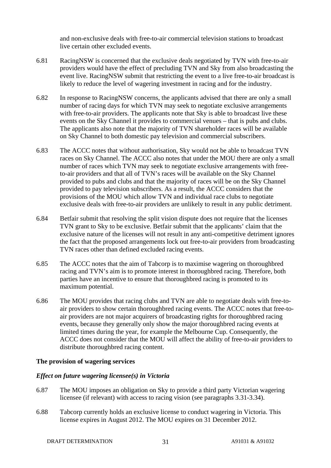and non-exclusive deals with free-to-air commercial television stations to broadcast live certain other excluded events.

- 6.81 RacingNSW is concerned that the exclusive deals negotiated by TVN with free-to-air providers would have the effect of precluding TVN and Sky from also broadcasting the event live. RacingNSW submit that restricting the event to a live free-to-air broadcast is likely to reduce the level of wagering investment in racing and for the industry.
- 6.82 In response to RacingNSW concerns, the applicants advised that there are only a small number of racing days for which TVN may seek to negotiate exclusive arrangements with free-to-air providers. The applicants note that Sky is able to broadcast live these events on the Sky Channel it provides to commercial venues – that is pubs and clubs. The applicants also note that the majority of TVN shareholder races will be available on Sky Channel to both domestic pay television and commercial subscribers.
- 6.83 The ACCC notes that without authorisation, Sky would not be able to broadcast TVN races on Sky Channel. The ACCC also notes that under the MOU there are only a small number of races which TVN may seek to negotiate exclusive arrangements with freeto-air providers and that all of TVN's races will be available on the Sky Channel provided to pubs and clubs and that the majority of races will be on the Sky Channel provided to pay television subscribers. As a result, the ACCC considers that the provisions of the MOU which allow TVN and individual race clubs to negotiate exclusive deals with free-to-air providers are unlikely to result in any public detriment.
- 6.84 Betfair submit that resolving the split vision dispute does not require that the licenses TVN grant to Sky to be exclusive. Betfair submit that the applicants' claim that the exclusive nature of the licenses will not result in any anti-competitive detriment ignores the fact that the proposed arrangements lock out free-to-air providers from broadcasting TVN races other than defined excluded racing events.
- 6.85 The ACCC notes that the aim of Tabcorp is to maximise wagering on thoroughbred racing and TVN's aim is to promote interest in thoroughbred racing. Therefore, both parties have an incentive to ensure that thoroughbred racing is promoted to its maximum potential.
- 6.86 The MOU provides that racing clubs and TVN are able to negotiate deals with free-toair providers to show certain thoroughbred racing events. The ACCC notes that free-toair providers are not major acquirers of broadcasting rights for thoroughbred racing events, because they generally only show the major thoroughbred racing events at limited times during the year, for example the Melbourne Cup. Consequently, the ACCC does not consider that the MOU will affect the ability of free-to-air providers to distribute thoroughbred racing content.

#### **The provision of wagering services**

#### *Effect on future wagering licensee(s) in Victoria*

- 6.87 The MOU imposes an obligation on Sky to provide a third party Victorian wagering licensee (if relevant) with access to racing vision (see paragraphs 3.31-3.34).
- 6.88 Tabcorp currently holds an exclusive license to conduct wagering in Victoria. This license expires in August 2012. The MOU expires on 31 December 2012.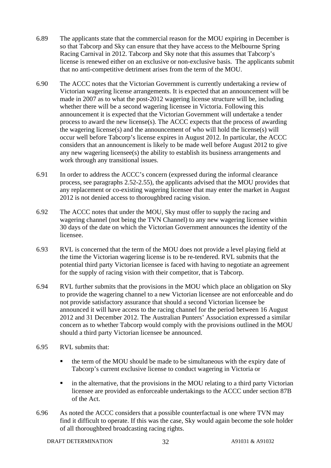- 6.89 The applicants state that the commercial reason for the MOU expiring in December is so that Tabcorp and Sky can ensure that they have access to the Melbourne Spring Racing Carnival in 2012. Tabcorp and Sky note that this assumes that Tabcorp's license is renewed either on an exclusive or non-exclusive basis. The applicants submit that no anti-competitive detriment arises from the term of the MOU.
- 6.90 The ACCC notes that the Victorian Government is currently undertaking a review of Victorian wagering license arrangements. It is expected that an announcement will be made in 2007 as to what the post-2012 wagering license structure will be, including whether there will be a second wagering licensee in Victoria. Following this announcement it is expected that the Victorian Government will undertake a tender process to award the new license(s). The ACCC expects that the process of awarding the wagering license(s) and the announcement of who will hold the license(s) will occur well before Tabcorp's license expires in August 2012. In particular, the ACCC considers that an announcement is likely to be made well before August 2012 to give any new wagering licensee(s) the ability to establish its business arrangements and work through any transitional issues.
- 6.91 In order to address the ACCC's concern (expressed during the informal clearance process, see paragraphs 2.52-2.55), the applicants advised that the MOU provides that any replacement or co-existing wagering licensee that may enter the market in August 2012 is not denied access to thoroughbred racing vision.
- 6.92 The ACCC notes that under the MOU, Sky must offer to supply the racing and wagering channel (not being the TVN Channel) to any new wagering licensee within 30 days of the date on which the Victorian Government announces the identity of the licensee.
- 6.93 RVL is concerned that the term of the MOU does not provide a level playing field at the time the Victorian wagering license is to be re-tendered. RVL submits that the potential third party Victorian licensee is faced with having to negotiate an agreement for the supply of racing vision with their competitor, that is Tabcorp.
- 6.94 RVL further submits that the provisions in the MOU which place an obligation on Sky to provide the wagering channel to a new Victorian licensee are not enforceable and do not provide satisfactory assurance that should a second Victorian licensee be announced it will have access to the racing channel for the period between 16 August 2012 and 31 December 2012. The Australian Punters' Association expressed a similar concern as to whether Tabcorp would comply with the provisions outlined in the MOU should a third party Victorian licensee be announced.
- 6.95 RVL submits that:
	- the term of the MOU should be made to be simultaneous with the expiry date of Tabcorp's current exclusive license to conduct wagering in Victoria or
	- in the alternative, that the provisions in the MOU relating to a third party Victorian licensee are provided as enforceable undertakings to the ACCC under section 87B of the Act.
- 6.96 As noted the ACCC considers that a possible counterfactual is one where TVN may find it difficult to operate. If this was the case, Sky would again become the sole holder of all thoroughbred broadcasting racing rights.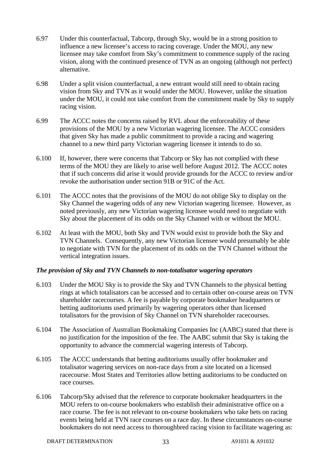- 6.97 Under this counterfactual, Tabcorp, through Sky, would be in a strong position to influence a new licensee's access to racing coverage. Under the MOU, any new licensee may take comfort from Sky's commitment to commence supply of the racing vision, along with the continued presence of TVN as an ongoing (although not perfect) alternative.
- 6.98 Under a split vision counterfactual, a new entrant would still need to obtain racing vision from Sky and TVN as it would under the MOU. However, unlike the situation under the MOU, it could not take comfort from the commitment made by Sky to supply racing vision.
- 6.99 The ACCC notes the concerns raised by RVL about the enforceability of these provisions of the MOU by a new Victorian wagering licensee. The ACCC considers that given Sky has made a public commitment to provide a racing and wagering channel to a new third party Victorian wagering licensee it intends to do so.
- 6.100 If, however, there were concerns that Tabcorp or Sky has not complied with these terms of the MOU they are likely to arise well before August 2012. The ACCC notes that if such concerns did arise it would provide grounds for the ACCC to review and/or revoke the authorisation under section 91B or 91C of the Act.
- 6.101 The ACCC notes that the provisions of the MOU do not oblige Sky to display on the Sky Channel the wagering odds of any new Victorian wagering licensee. However, as noted previously, any new Victorian wagering licensee would need to negotiate with Sky about the placement of its odds on the Sky Channel with or without the MOU.
- 6.102 At least with the MOU, both Sky and TVN would exist to provide both the Sky and TVN Channels. Consequently, any new Victorian licensee would presumably be able to negotiate with TVN for the placement of its odds on the TVN Channel without the vertical integration issues.

### *The provision of Sky and TVN Channels to non-totalisator wagering operators*

- 6.103 Under the MOU Sky is to provide the Sky and TVN Channels to the physical betting rings at which totalisators can be accessed and to certain other on-course areas on TVN shareholder racecourses. A fee is payable by corporate bookmaker headquarters or betting auditoriums used primarily by wagering operators other than licensed totalisators for the provision of Sky Channel on TVN shareholder racecourses.
- 6.104 The Association of Australian Bookmaking Companies Inc (AABC) stated that there is no justification for the imposition of the fee. The AABC submit that Sky is taking the opportunity to advance the commercial wagering interests of Tabcorp.
- 6.105 The ACCC understands that betting auditoriums usually offer bookmaker and totalisator wagering services on non-race days from a site located on a licensed racecourse. Most States and Territories allow betting auditoriums to be conducted on race courses.
- 6.106 Tabcorp/Sky advised that the reference to corporate bookmaker headquarters in the MOU refers to on-course bookmakers who establish their administrative office on a race course. The fee is not relevant to on-course bookmakers who take bets on racing events being held at TVN race courses on a race day. In these circumstances on-course bookmakers do not need access to thoroughbred racing vision to facilitate wagering as: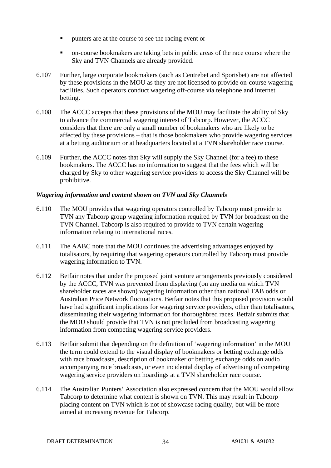- punters are at the course to see the racing event or
- on-course bookmakers are taking bets in public areas of the race course where the Sky and TVN Channels are already provided.
- 6.107 Further, large corporate bookmakers (such as Centrebet and Sportsbet) are not affected by these provisions in the MOU as they are not licensed to provide on-course wagering facilities. Such operators conduct wagering off-course via telephone and internet betting.
- 6.108 The ACCC accepts that these provisions of the MOU may facilitate the ability of Sky to advance the commercial wagering interest of Tabcorp. However, the ACCC considers that there are only a small number of bookmakers who are likely to be affected by these provisions – that is those bookmakers who provide wagering services at a betting auditorium or at headquarters located at a TVN shareholder race course.
- 6.109 Further, the ACCC notes that Sky will supply the Sky Channel (for a fee) to these bookmakers. The ACCC has no information to suggest that the fees which will be charged by Sky to other wagering service providers to access the Sky Channel will be prohibitive.

### *Wagering information and content shown on TVN and Sky Channels*

- 6.110 The MOU provides that wagering operators controlled by Tabcorp must provide to TVN any Tabcorp group wagering information required by TVN for broadcast on the TVN Channel. Tabcorp is also required to provide to TVN certain wagering information relating to international races.
- 6.111 The AABC note that the MOU continues the advertising advantages enjoyed by totalisators, by requiring that wagering operators controlled by Tabcorp must provide wagering information to TVN.
- 6.112 Betfair notes that under the proposed joint venture arrangements previously considered by the ACCC, TVN was prevented from displaying (on any media on which TVN shareholder races are shown) wagering information other than national TAB odds or Australian Price Network fluctuations. Betfair notes that this proposed provision would have had significant implications for wagering service providers, other than totalisators, disseminating their wagering information for thoroughbred races. Betfair submits that the MOU should provide that TVN is not precluded from broadcasting wagering information from competing wagering service providers.
- 6.113 Betfair submit that depending on the definition of 'wagering information' in the MOU the term could extend to the visual display of bookmakers or betting exchange odds with race broadcasts, description of bookmaker or betting exchange odds on audio accompanying race broadcasts, or even incidental display of advertising of competing wagering service providers on hoardings at a TVN shareholder race course.
- 6.114 The Australian Punters' Association also expressed concern that the MOU would allow Tabcorp to determine what content is shown on TVN. This may result in Tabcorp placing content on TVN which is not of showcase racing quality, but will be more aimed at increasing revenue for Tabcorp.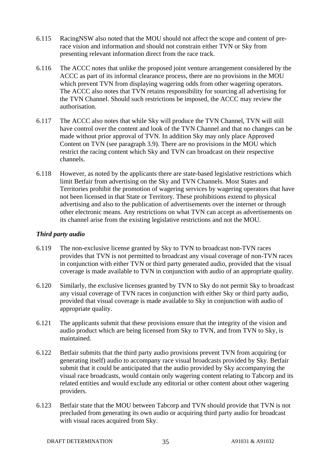- 6.115 RacingNSW also noted that the MOU should not affect the scope and content of prerace vision and information and should not constrain either TVN or Sky from presenting relevant information direct from the race track.
- 6.116 The ACCC notes that unlike the proposed joint venture arrangement considered by the ACCC as part of its informal clearance process, there are no provisions in the MOU which prevent TVN from displaying wagering odds from other wagering operators. The ACCC also notes that TVN retains responsibility for sourcing all advertising for the TVN Channel. Should such restrictions be imposed, the ACCC may review the authorisation.
- 6.117 The ACCC also notes that while Sky will produce the TVN Channel, TVN will still have control over the content and look of the TVN Channel and that no changes can be made without prior approval of TVN. In addition Sky may only place Approved Content on TVN (see paragraph 3.9). There are no provisions in the MOU which restrict the racing content which Sky and TVN can broadcast on their respective channels.
- 6.118 However, as noted by the applicants there are state-based legislative restrictions which limit Betfair from advertising on the Sky and TVN Channels. Most States and Territories prohibit the promotion of wagering services by wagering operators that have not been licensed in that State or Territory. These prohibitions extend to physical advertising and also to the publication of advertisements over the internet or through other electronic means. Any restrictions on what TVN can accept as advertisements on its channel arise from the existing legislative restrictions and not the MOU.

### *Third party audio*

- 6.119 The non-exclusive license granted by Sky to TVN to broadcast non-TVN races provides that TVN is not permitted to broadcast any visual coverage of non-TVN races in conjunction with either TVN or third party generated audio, provided that the visual coverage is made available to TVN in conjunction with audio of an appropriate quality.
- 6.120 Similarly, the exclusive licenses granted by TVN to Sky do not permit Sky to broadcast any visual coverage of TVN races in conjunction with either Sky or third party audio, provided that visual coverage is made available to Sky in conjunction with audio of appropriate quality.
- 6.121 The applicants submit that these provisions ensure that the integrity of the vision and audio product which are being licensed from Sky to TVN, and from TVN to Sky, is maintained.
- 6.122 Betfair submits that the third party audio provisions prevent TVN from acquiring (or generating itself) audio to accompany race visual broadcasts provided by Sky. Betfair submit that it could be anticipated that the audio provided by Sky accompanying the visual race broadcasts, would contain only wagering content relating to Tabcorp and its related entities and would exclude any editorial or other content about other wagering providers.
- 6.123 Betfair state that the MOU between Tabcorp and TVN should provide that TVN is not precluded from generating its own audio or acquiring third party audio for broadcast with visual races acquired from Sky.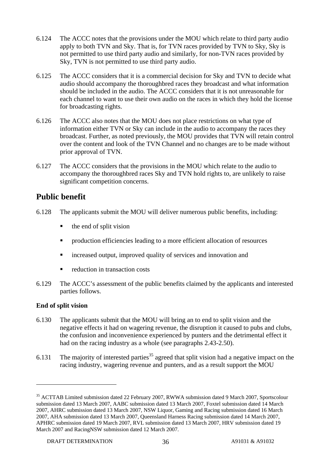- 6.124 The ACCC notes that the provisions under the MOU which relate to third party audio apply to both TVN and Sky. That is, for TVN races provided by TVN to Sky, Sky is not permitted to use third party audio and similarly, for non-TVN races provided by Sky, TVN is not permitted to use third party audio.
- 6.125 The ACCC considers that it is a commercial decision for Sky and TVN to decide what audio should accompany the thoroughbred races they broadcast and what information should be included in the audio. The ACCC considers that it is not unreasonable for each channel to want to use their own audio on the races in which they hold the license for broadcasting rights.
- 6.126 The ACCC also notes that the MOU does not place restrictions on what type of information either TVN or Sky can include in the audio to accompany the races they broadcast. Further, as noted previously, the MOU provides that TVN will retain control over the content and look of the TVN Channel and no changes are to be made without prior approval of TVN.
- 6.127 The ACCC considers that the provisions in the MOU which relate to the audio to accompany the thoroughbred races Sky and TVN hold rights to, are unlikely to raise significant competition concerns.

# **Public benefit**

- 6.128 The applicants submit the MOU will deliver numerous public benefits, including:
	- $\blacksquare$  the end of split vision
	- production efficiencies leading to a more efficient allocation of resources
	- **EXECUTE:** increased output, improved quality of services and innovation and
	- reduction in transaction costs
- 6.129 The ACCC's assessment of the public benefits claimed by the applicants and interested parties follows.

### **End of split vision**

- 6.130 The applicants submit that the MOU will bring an to end to split vision and the negative effects it had on wagering revenue, the disruption it caused to pubs and clubs, the confusion and inconvenience experienced by punters and the detrimental effect it had on the racing industry as a whole (see paragraphs 2.43-2.50).
- 6.131 The majority of interested parties<sup>35</sup> agreed that split vision had a negative impact on the racing industry, wagering revenue and punters, and as a result support the MOU

<sup>&</sup>lt;sup>35</sup> ACTTAB Limited submission dated 22 February 2007, RWWA submission dated 9 March 2007, Sportscolour submission dated 13 March 2007, AABC submission dated 13 March 2007, Foxtel submission dated 14 March 2007, AHRC submission dated 13 March 2007, NSW Liquor, Gaming and Racing submission dated 16 March 2007, AHA submission dated 13 March 2007, Queensland Harness Racing submission dated 14 March 2007, APHRC submission dated 19 March 2007, RVL submission dated 13 March 2007, HRV submission dated 19 March 2007 and RacingNSW submission dated 12 March 2007.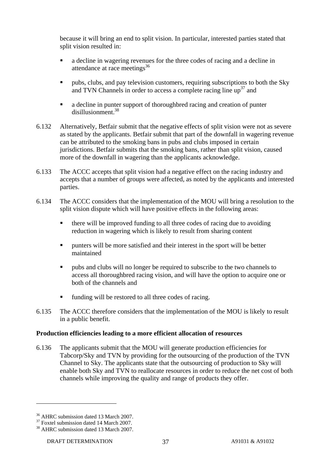because it will bring an end to split vision. In particular, interested parties stated that split vision resulted in:

- a decline in wagering revenues for the three codes of racing and a decline in attendance at race meetings $36$
- **Pubs, clubs, and pay television customers, requiring subscriptions to both the Sky** and TVN Channels in order to access a complete racing line  $\mathrm{u}v^{37}$  and
- a decline in punter support of thoroughbred racing and creation of punter disillusionment.38
- 6.132 Alternatively, Betfair submit that the negative effects of split vision were not as severe as stated by the applicants. Betfair submit that part of the downfall in wagering revenue can be attributed to the smoking bans in pubs and clubs imposed in certain jurisdictions. Betfair submits that the smoking bans, rather than split vision, caused more of the downfall in wagering than the applicants acknowledge.
- 6.133 The ACCC accepts that split vision had a negative effect on the racing industry and accepts that a number of groups were affected, as noted by the applicants and interested parties.
- 6.134 The ACCC considers that the implementation of the MOU will bring a resolution to the split vision dispute which will have positive effects in the following areas:
	- there will be improved funding to all three codes of racing due to avoiding reduction in wagering which is likely to result from sharing content
	- punters will be more satisfied and their interest in the sport will be better maintained
	- pubs and clubs will no longer be required to subscribe to the two channels to access all thoroughbred racing vision, and will have the option to acquire one or both of the channels and
	- funding will be restored to all three codes of racing.
- 6.135 The ACCC therefore considers that the implementation of the MOU is likely to result in a public benefit.

### **Production efficiencies leading to a more efficient allocation of resources**

6.136 The applicants submit that the MOU will generate production efficiencies for Tabcorp/Sky and TVN by providing for the outsourcing of the production of the TVN Channel to Sky. The applicants state that the outsourcing of production to Sky will enable both Sky and TVN to reallocate resources in order to reduce the net cost of both channels while improving the quality and range of products they offer.

<sup>&</sup>lt;sup>36</sup> AHRC submission dated 13 March 2007.

<sup>&</sup>lt;sup>37</sup> Foxtel submission dated 14 March 2007.

<sup>38</sup> AHRC submission dated 13 March 2007.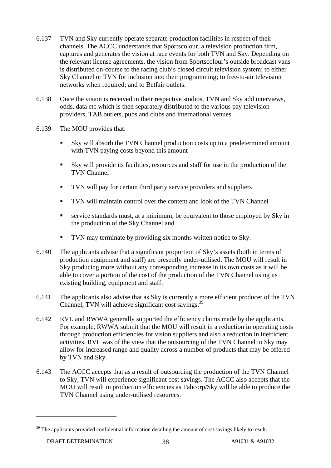- 6.137 TVN and Sky currently operate separate production facilities in respect of their channels. The ACCC understands that Sportscolour, a television production firm, captures and generates the vision at race events for both TVN and Sky. Depending on the relevant license agreements, the vision from Sportscolour's outside broadcast vans is distributed on-course to the racing club's closed circuit television system; to either Sky Channel or TVN for inclusion into their programming; to free-to-air television networks when required; and to Betfair outlets.
- 6.138 Once the vision is received in their respective studios, TVN and Sky add interviews, odds, data etc which is then separately distributed to the various pay television providers, TAB outlets, pubs and clubs and international venues.
- 6.139 The MOU provides that:
	- Sky will absorb the TVN Channel production costs up to a predetermined amount with TVN paying costs beyond this amount
	- Sky will provide its facilities, resources and staff for use in the production of the TVN Channel
	- TVN will pay for certain third party service providers and suppliers
	- TVN will maintain control over the content and look of the TVN Channel
	- service standards must, at a minimum, be equivalent to those employed by Sky in the production of the Sky Channel and
	- TVN may terminate by providing six months written notice to Sky.
- 6.140 The applicants advise that a significant proportion of Sky's assets (both in terms of production equipment and staff) are presently under-utilised. The MOU will result in Sky producing more without any corresponding increase in its own costs as it will be able to cover a portion of the cost of the production of the TVN Channel using its existing building, equipment and staff.
- 6.141 The applicants also advise that as Sky is currently a more efficient producer of the TVN Channel, TVN will achieve significant cost savings.<sup>39</sup>
- 6.142 RVL and RWWA generally supported the efficiency claims made by the applicants. For example, RWWA submit that the MOU will result in a reduction in operating costs through production efficiencies for vision suppliers and also a reduction in inefficient activities. RVL was of the view that the outsourcing of the TVN Channel to Sky may allow for increased range and quality across a number of products that may be offered by TVN and Sky.
- 6.143 The ACCC accepts that as a result of outsourcing the production of the TVN Channel to Sky, TVN will experience significant cost savings. The ACCC also accepts that the MOU will result in production efficiencies as Tabcorp/Sky will be able to produce the TVN Channel using under-utilised resources.

 $39$  The applicants provided confidential information detailing the amount of cost savings likely to result.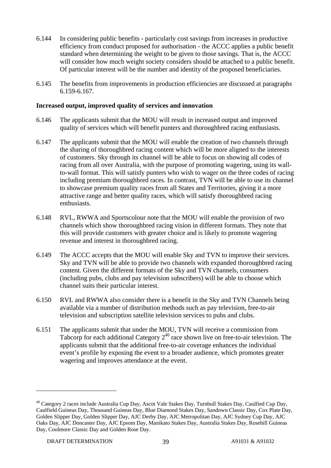- 6.144 In considering public benefits particularly cost savings from increases in productive efficiency from conduct proposed for authorisation - the ACCC applies a public benefit standard when determining the weight to be given to those savings. That is, the ACCC will consider how much weight society considers should be attached to a public benefit. Of particular interest will be the number and identity of the proposed beneficiaries.
- 6.145 The benefits from improvements in production efficiencies are discussed at paragraphs 6.159-6.167.

#### **Increased output, improved quality of services and innovation**

- 6.146 The applicants submit that the MOU will result in increased output and improved quality of services which will benefit punters and thoroughbred racing enthusiasts.
- 6.147 The applicants submit that the MOU will enable the creation of two channels through the sharing of thoroughbred racing content which will be more aligned to the interests of customers. Sky through its channel will be able to focus on showing all codes of racing from all over Australia, with the purpose of promoting wagering, using its wallto-wall format. This will satisfy punters who wish to wager on the three codes of racing including premium thoroughbred races. In contrast, TVN will be able to use its channel to showcase premium quality races from all States and Territories, giving it a more attractive range and better quality races, which will satisfy thoroughbred racing enthusiasts.
- 6.148 RVL, RWWA and Sportscolour note that the MOU will enable the provision of two channels which show thoroughbred racing vision in different formats. They note that this will provide customers with greater choice and is likely to promote wagering revenue and interest in thoroughbred racing.
- 6.149 The ACCC accepts that the MOU will enable Sky and TVN to improve their services. Sky and TVN will be able to provide two channels with expanded thoroughbred racing content. Given the different formats of the Sky and TVN channels, consumers (including pubs, clubs and pay television subscribers) will be able to choose which channel suits their particular interest.
- 6.150 RVL and RWWA also consider there is a benefit in the Sky and TVN Channels being available via a number of distribution methods such as pay television, free-to-air television and subscription satellite television services to pubs and clubs.
- 6.151 The applicants submit that under the MOU, TVN will receive a commission from Tabcorp for each additional Category  $2^{40}$  race shown live on free-to-air television. The applicants submit that the additional free-to-air coverage enhances the individual event's profile by exposing the event to a broader audience, which promotes greater wagering and improves attendance at the event.

<sup>&</sup>lt;sup>40</sup> Category 2 races include Australia Cup Day, Ascot Vale Stakes Day, Turnbull Stakes Day, Caulfied Cup Day, Caulfield Guineas Day, Thousand Guineas Day, Blue Diamond Stakes Day, Sandown Classic Day, Cox Plate Day, Golden Slipper Day, Golden Slipper Day, AJC Derby Day, AJC Metropolitan Day, AJC Sydney Cup Day, AJC Oaks Day, AJC Doncaster Day, AJC Epsom Day, Manikato Stakes Day, Australia Stakes Day, Rosehill Guineas Day, Coolmore Classic Day and Golden Rose Day.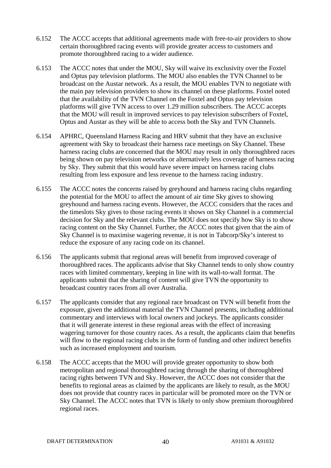- 6.152 The ACCC accepts that additional agreements made with free-to-air providers to show certain thoroughbred racing events will provide greater access to customers and promote thoroughbred racing to a wider audience.
- 6.153 The ACCC notes that under the MOU, Sky will waive its exclusivity over the Foxtel and Optus pay television platforms. The MOU also enables the TVN Channel to be broadcast on the Austar network. As a result, the MOU enables TVN to negotiate with the main pay television providers to show its channel on these platforms. Foxtel noted that the availability of the TVN Channel on the Foxtel and Optus pay television platforms will give TVN access to over 1.29 million subscribers. The ACCC accepts that the MOU will result in improved services to pay television subscribers of Foxtel, Optus and Austar as they will be able to access both the Sky and TVN Channels.
- 6.154 APHRC, Queensland Harness Racing and HRV submit that they have an exclusive agreement with Sky to broadcast their harness race meetings on Sky Channel. These harness racing clubs are concerned that the MOU may result in only thoroughbred races being shown on pay television networks or alternatively less coverage of harness racing by Sky. They submit that this would have severe impact on harness racing clubs resulting from less exposure and less revenue to the harness racing industry.
- 6.155 The ACCC notes the concerns raised by greyhound and harness racing clubs regarding the potential for the MOU to affect the amount of air time Sky gives to showing greyhound and harness racing events. However, the ACCC considers that the races and the timeslots Sky gives to those racing events it shows on Sky Channel is a commercial decision for Sky and the relevant clubs. The MOU does not specify how Sky is to show racing content on the Sky Channel. Further, the ACCC notes that given that the aim of Sky Channel is to maximise wagering revenue, it is not in Tabcorp/Sky's interest to reduce the exposure of any racing code on its channel.
- 6.156 The applicants submit that regional areas will benefit from improved coverage of thoroughbred races. The applicants advise that Sky Channel tends to only show country races with limited commentary, keeping in line with its wall-to-wall format. The applicants submit that the sharing of content will give TVN the opportunity to broadcast country races from all over Australia.
- 6.157 The applicants consider that any regional race broadcast on TVN will benefit from the exposure, given the additional material the TVN Channel presents, including additional commentary and interviews with local owners and jockeys. The applicants consider that it will generate interest in these regional areas with the effect of increasing wagering turnover for those country races. As a result, the applicants claim that benefits will flow to the regional racing clubs in the form of funding and other indirect benefits such as increased employment and tourism.
- 6.158 The ACCC accepts that the MOU will provide greater opportunity to show both metropolitan and regional thoroughbred racing through the sharing of thoroughbred racing rights between TVN and Sky. However, the ACCC does not consider that the benefits to regional areas as claimed by the applicants are likely to result, as the MOU does not provide that country races in particular will be promoted more on the TVN or Sky Channel. The ACCC notes that TVN is likely to only show premium thoroughbred regional races.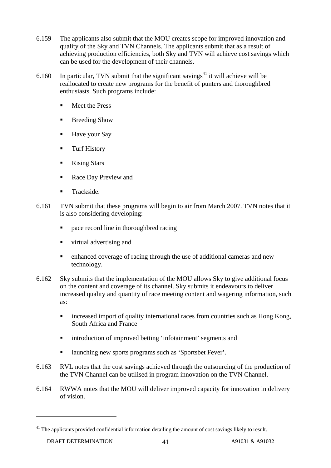- 6.159 The applicants also submit that the MOU creates scope for improved innovation and quality of the Sky and TVN Channels. The applicants submit that as a result of achieving production efficiencies, both Sky and TVN will achieve cost savings which can be used for the development of their channels.
- 6.160 In particular, TVN submit that the significant savings<sup>41</sup> it will achieve will be reallocated to create new programs for the benefit of punters and thoroughbred enthusiasts. Such programs include:
	- **Neet the Press**
	- Breeding Show
	- Have your Say
	- Turf History
	- **Rising Stars**
	- Race Day Preview and
	- Trackside.
- 6.161 TVN submit that these programs will begin to air from March 2007. TVN notes that it is also considering developing:
	- pace record line in thoroughbred racing
	- virtual advertising and
	- enhanced coverage of racing through the use of additional cameras and new technology.
- 6.162 Sky submits that the implementation of the MOU allows Sky to give additional focus on the content and coverage of its channel. Sky submits it endeavours to deliver increased quality and quantity of race meeting content and wagering information, such as:
	- **increased import of quality international races from countries such as Hong Kong,** South Africa and France
	- **EXECUTE:** introduction of improved betting 'infotainment' segments and
	- launching new sports programs such as 'Sportsbet Fever'.
- 6.163 RVL notes that the cost savings achieved through the outsourcing of the production of the TVN Channel can be utilised in program innovation on the TVN Channel.
- 6.164 RWWA notes that the MOU will deliver improved capacity for innovation in delivery of vision.

<sup>&</sup>lt;sup>41</sup> The applicants provided confidential information detailing the amount of cost savings likely to result.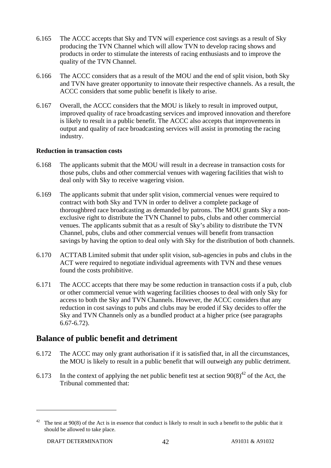- 6.165 The ACCC accepts that Sky and TVN will experience cost savings as a result of Sky producing the TVN Channel which will allow TVN to develop racing shows and products in order to stimulate the interests of racing enthusiasts and to improve the quality of the TVN Channel.
- 6.166 The ACCC considers that as a result of the MOU and the end of split vision, both Sky and TVN have greater opportunity to innovate their respective channels. As a result, the ACCC considers that some public benefit is likely to arise.
- 6.167 Overall, the ACCC considers that the MOU is likely to result in improved output, improved quality of race broadcasting services and improved innovation and therefore is likely to result in a public benefit. The ACCC also accepts that improvements in output and quality of race broadcasting services will assist in promoting the racing industry.

### **Reduction in transaction costs**

- 6.168 The applicants submit that the MOU will result in a decrease in transaction costs for those pubs, clubs and other commercial venues with wagering facilities that wish to deal only with Sky to receive wagering vision.
- 6.169 The applicants submit that under split vision, commercial venues were required to contract with both Sky and TVN in order to deliver a complete package of thoroughbred race broadcasting as demanded by patrons. The MOU grants Sky a nonexclusive right to distribute the TVN Channel to pubs, clubs and other commercial venues. The applicants submit that as a result of Sky's ability to distribute the TVN Channel, pubs, clubs and other commercial venues will benefit from transaction savings by having the option to deal only with Sky for the distribution of both channels.
- 6.170 ACTTAB Limited submit that under split vision, sub-agencies in pubs and clubs in the ACT were required to negotiate individual agreements with TVN and these venues found the costs prohibitive.
- 6.171 The ACCC accepts that there may be some reduction in transaction costs if a pub, club or other commercial venue with wagering facilities chooses to deal with only Sky for access to both the Sky and TVN Channels. However, the ACCC considers that any reduction in cost savings to pubs and clubs may be eroded if Sky decides to offer the Sky and TVN Channels only as a bundled product at a higher price (see paragraphs 6.67-6.72).

### **Balance of public benefit and detriment**

- 6.172 The ACCC may only grant authorisation if it is satisfied that, in all the circumstances, the MOU is likely to result in a public benefit that will outweigh any public detriment.
- 6.173 In the context of applying the net public benefit test at section  $90(8)^{42}$  of the Act, the Tribunal commented that:

<sup>&</sup>lt;sup>42</sup> The test at 90(8) of the Act is in essence that conduct is likely to result in such a benefit to the public that it should be allowed to take place.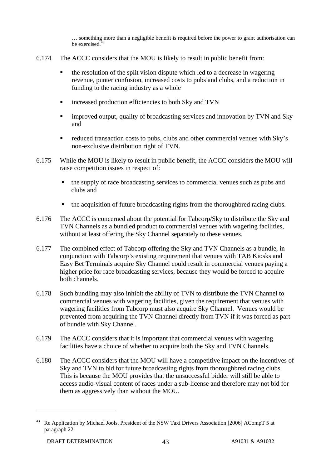… something more than a negligible benefit is required before the power to grant authorisation can be exercised.<sup>43</sup>

- 6.174 The ACCC considers that the MOU is likely to result in public benefit from:
	- the resolution of the split vision dispute which led to a decrease in wagering revenue, punter confusion, increased costs to pubs and clubs, and a reduction in funding to the racing industry as a whole
	- increased production efficiencies to both Sky and TVN
	- improved output, quality of broadcasting services and innovation by TVN and Sky and
	- reduced transaction costs to pubs, clubs and other commercial venues with Sky's non-exclusive distribution right of TVN.
- 6.175 While the MOU is likely to result in public benefit, the ACCC considers the MOU will raise competition issues in respect of:
	- the supply of race broadcasting services to commercial venues such as pubs and clubs and
	- the acquisition of future broadcasting rights from the thoroughbred racing clubs.
- 6.176 The ACCC is concerned about the potential for Tabcorp/Sky to distribute the Sky and TVN Channels as a bundled product to commercial venues with wagering facilities, without at least offering the Sky Channel separately to these venues.
- 6.177 The combined effect of Tabcorp offering the Sky and TVN Channels as a bundle, in conjunction with Tabcorp's existing requirement that venues with TAB Kiosks and Easy Bet Terminals acquire Sky Channel could result in commercial venues paying a higher price for race broadcasting services, because they would be forced to acquire both channels.
- 6.178 Such bundling may also inhibit the ability of TVN to distribute the TVN Channel to commercial venues with wagering facilities, given the requirement that venues with wagering facilities from Tabcorp must also acquire Sky Channel. Venues would be prevented from acquiring the TVN Channel directly from TVN if it was forced as part of bundle with Sky Channel.
- 6.179 The ACCC considers that it is important that commercial venues with wagering facilities have a choice of whether to acquire both the Sky and TVN Channels.
- 6.180 The ACCC considers that the MOU will have a competitive impact on the incentives of Sky and TVN to bid for future broadcasting rights from thoroughbred racing clubs. This is because the MOU provides that the unsuccessful bidder will still be able to access audio-visual content of races under a sub-license and therefore may not bid for them as aggressively than without the MOU.

<sup>43</sup> Re Application by Michael Jools, President of the NSW Taxi Drivers Association [2006] ACompT 5 at paragraph 22.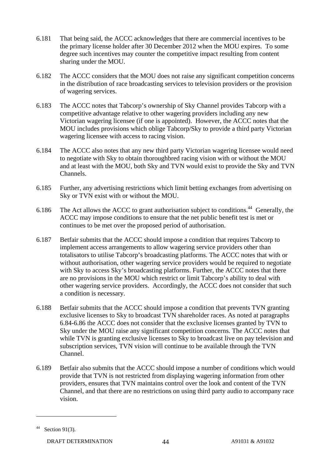- 6.181 That being said, the ACCC acknowledges that there are commercial incentives to be the primary license holder after 30 December 2012 when the MOU expires. To some degree such incentives may counter the competitive impact resulting from content sharing under the MOU.
- 6.182 The ACCC considers that the MOU does not raise any significant competition concerns in the distribution of race broadcasting services to television providers or the provision of wagering services.
- 6.183 The ACCC notes that Tabcorp's ownership of Sky Channel provides Tabcorp with a competitive advantage relative to other wagering providers including any new Victorian wagering licensee (if one is appointed). However, the ACCC notes that the MOU includes provisions which oblige Tabcorp/Sky to provide a third party Victorian wagering licensee with access to racing vision.
- 6.184 The ACCC also notes that any new third party Victorian wagering licensee would need to negotiate with Sky to obtain thoroughbred racing vision with or without the MOU and at least with the MOU, both Sky and TVN would exist to provide the Sky and TVN Channels.
- 6.185 Further, any advertising restrictions which limit betting exchanges from advertising on Sky or TVN exist with or without the MOU.
- 6.186 The Act allows the ACCC to grant authorisation subject to conditions.<sup>44</sup> Generally, the ACCC may impose conditions to ensure that the net public benefit test is met or continues to be met over the proposed period of authorisation.
- 6.187 Betfair submits that the ACCC should impose a condition that requires Tabcorp to implement access arrangements to allow wagering service providers other than totalisators to utilise Tabcorp's broadcasting platforms. The ACCC notes that with or without authorisation, other wagering service providers would be required to negotiate with Sky to access Sky's broadcasting platforms. Further, the ACCC notes that there are no provisions in the MOU which restrict or limit Tabcorp's ability to deal with other wagering service providers. Accordingly, the ACCC does not consider that such a condition is necessary.
- 6.188 Betfair submits that the ACCC should impose a condition that prevents TVN granting exclusive licenses to Sky to broadcast TVN shareholder races. As noted at paragraphs 6.84-6.86 the ACCC does not consider that the exclusive licenses granted by TVN to Sky under the MOU raise any significant competition concerns. The ACCC notes that while TVN is granting exclusive licenses to Sky to broadcast live on pay television and subscription services, TVN vision will continue to be available through the TVN Channel.
- 6.189 Betfair also submits that the ACCC should impose a number of conditions which would provide that TVN is not restricted from displaying wagering information from other providers, ensures that TVN maintains control over the look and content of the TVN Channel, and that there are no restrictions on using third party audio to accompany race vision.

 $44$  Section 91(3).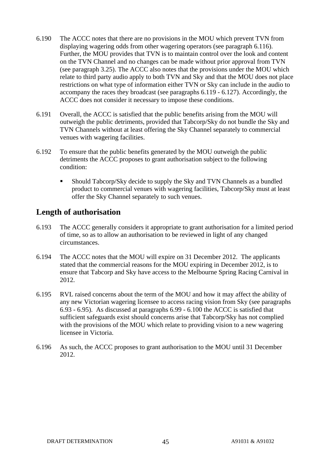- 6.190 The ACCC notes that there are no provisions in the MOU which prevent TVN from displaying wagering odds from other wagering operators (see paragraph 6.116). Further, the MOU provides that TVN is to maintain control over the look and content on the TVN Channel and no changes can be made without prior approval from TVN (see paragraph 3.25). The ACCC also notes that the provisions under the MOU which relate to third party audio apply to both TVN and Sky and that the MOU does not place restrictions on what type of information either TVN or Sky can include in the audio to accompany the races they broadcast (see paragraphs 6.119 - 6.127). Accordingly, the ACCC does not consider it necessary to impose these conditions.
- 6.191 Overall, the ACCC is satisfied that the public benefits arising from the MOU will outweigh the public detriments, provided that Tabcorp/Sky do not bundle the Sky and TVN Channels without at least offering the Sky Channel separately to commercial venues with wagering facilities.
- 6.192 To ensure that the public benefits generated by the MOU outweigh the public detriments the ACCC proposes to grant authorisation subject to the following condition:
	- Should Tabcorp/Sky decide to supply the Sky and TVN Channels as a bundled product to commercial venues with wagering facilities, Tabcorp/Sky must at least offer the Sky Channel separately to such venues.

# **Length of authorisation**

- 6.193 The ACCC generally considers it appropriate to grant authorisation for a limited period of time, so as to allow an authorisation to be reviewed in light of any changed circumstances.
- 6.194 The ACCC notes that the MOU will expire on 31 December 2012. The applicants stated that the commercial reasons for the MOU expiring in December 2012, is to ensure that Tabcorp and Sky have access to the Melbourne Spring Racing Carnival in 2012.
- 6.195 RVL raised concerns about the term of the MOU and how it may affect the ability of any new Victorian wagering licensee to access racing vision from Sky (see paragraphs 6.93 - 6.95). As discussed at paragraphs 6.99 - 6.100 the ACCC is satisfied that sufficient safeguards exist should concerns arise that Tabcorp/Sky has not complied with the provisions of the MOU which relate to providing vision to a new wagering licensee in Victoria.
- 6.196 As such, the ACCC proposes to grant authorisation to the MOU until 31 December 2012.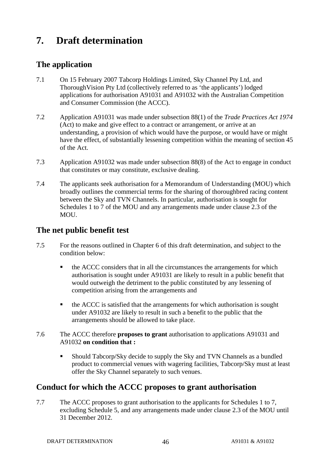# **7. Draft determination**

# **The application**

- 7.1 On 15 February 2007 Tabcorp Holdings Limited, Sky Channel Pty Ltd, and ThoroughVision Pty Ltd (collectively referred to as 'the applicants') lodged applications for authorisation A91031 and A91032 with the Australian Competition and Consumer Commission (the ACCC).
- 7.2 Application A91031 was made under subsection 88(1) of the *Trade Practices Act 1974*  (Act) to make and give effect to a contract or arrangement, or arrive at an understanding, a provision of which would have the purpose, or would have or might have the effect, of substantially lessening competition within the meaning of section 45 of the Act.
- 7.3 Application A91032 was made under subsection 88(8) of the Act to engage in conduct that constitutes or may constitute, exclusive dealing.
- 7.4 The applicants seek authorisation for a Memorandum of Understanding (MOU) which broadly outlines the commercial terms for the sharing of thoroughbred racing content between the Sky and TVN Channels. In particular, authorisation is sought for Schedules 1 to 7 of the MOU and any arrangements made under clause 2.3 of the MOU.

### **The net public benefit test**

- 7.5 For the reasons outlined in Chapter 6 of this draft determination, and subject to the condition below:
	- the ACCC considers that in all the circumstances the arrangements for which authorisation is sought under A91031 are likely to result in a public benefit that would outweigh the detriment to the public constituted by any lessening of competition arising from the arrangements and
	- the ACCC is satisfied that the arrangements for which authorisation is sought under A91032 are likely to result in such a benefit to the public that the arrangements should be allowed to take place.
- 7.6 The ACCC therefore **proposes to grant** authorisation to applications A91031 and A91032 **on condition that :**
	- Should Tabcorp/Sky decide to supply the Sky and TVN Channels as a bundled product to commercial venues with wagering facilities, Tabcorp/Sky must at least offer the Sky Channel separately to such venues.

# **Conduct for which the ACCC proposes to grant authorisation**

7.7 The ACCC proposes to grant authorisation to the applicants for Schedules 1 to 7, excluding Schedule 5, and any arrangements made under clause 2.3 of the MOU until 31 December 2012.